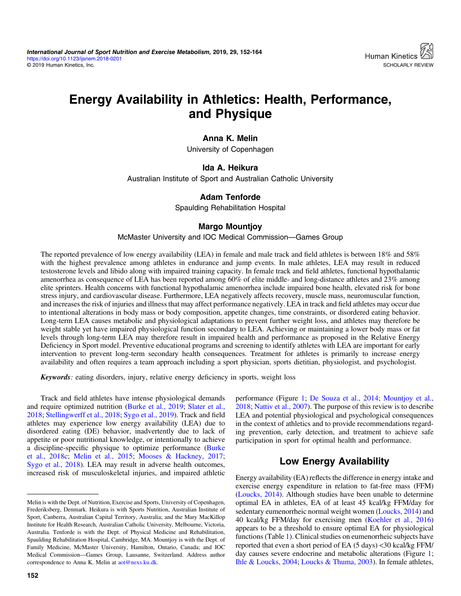# Energy Availability in Athletics: Health, Performance, and Physique

## Anna K. Melin

University of Copenhagen

## Ida A. Heikura

Australian Institute of Sport and Australian Catholic University

## Adam Tenforde

Spaulding Rehabilitation Hospital

## Margo Mountjoy

#### McMaster University and IOC Medical Commission—Games Group

The reported prevalence of low energy availability (LEA) in female and male track and field athletes is between 18% and 58% with the highest prevalence among athletes in endurance and jump events. In male athletes, LEA may result in reduced testosterone levels and libido along with impaired training capacity. In female track and field athletes, functional hypothalamic amenorrhea as consequence of LEA has been reported among 60% of elite middle- and long-distance athletes and 23% among elite sprinters. Health concerns with functional hypothalamic amenorrhea include impaired bone health, elevated risk for bone stress injury, and cardiovascular disease. Furthermore, LEA negatively affects recovery, muscle mass, neuromuscular function, and increases the risk of injuries and illness that may affect performance negatively. LEA in track and field athletes may occur due to intentional alterations in body mass or body composition, appetite changes, time constraints, or disordered eating behavior. Long-term LEA causes metabolic and physiological adaptations to prevent further weight loss, and athletes may therefore be weight stable yet have impaired physiological function secondary to LEA. Achieving or maintaining a lower body mass or fat levels through long-term LEA may therefore result in impaired health and performance as proposed in the Relative Energy Deficiency in Sport model. Preventive educational programs and screening to identify athletes with LEA are important for early intervention to prevent long-term secondary health consequences. Treatment for athletes is primarily to increase energy availability and often requires a team approach including a sport physician, sports dietitian, physiologist, and psychologist.

Keywords: eating disorders, injury, relative energy deficiency in sports, weight loss

Track and field athletes have intense physiological demands and require optimized nutrition [\(Burke et al., 2019;](#page-9-0) [Slater et al.,](#page-11-0) [2018](#page-11-0); [Stellingwerff et al., 2018](#page-11-0); [Sygo et al., 2019](#page-11-0)). Track and field athletes may experience low energy availability (LEA) due to disordered eating (DE) behavior, inadvertently due to lack of appetite or poor nutritional knowledge, or intentionally to achieve a discipline-specific physique to optimize performance ([Burke](#page-9-0) [et al., 2018c;](#page-9-0) [Melin et al., 2015](#page-10-0); [Mooses & Hackney, 2017](#page-11-0); [Sygo et al., 2018\)](#page-11-0). LEA may result in adverse health outcomes, increased risk of musculoskeletal injuries, and impaired athletic performance (Figure [1](#page-1-0); [De Souza et al., 2014;](#page-9-0) [Mountjoy et al.,](#page-11-0) [2018](#page-11-0); [Nattiv et al., 2007\)](#page-11-0). The purpose of this review is to describe LEA and potential physiological and psychological consequences in the context of athletics and to provide recommendations regarding prevention, early detection, and treatment to achieve safe participation in sport for optimal health and performance.

## Low Energy Availability

Energy availability (EA) reflects the difference in energy intake and exercise energy expenditure in relation to fat-free mass (FFM) [\(Loucks, 2014](#page-10-0)). Although studies have been unable to determine optimal EA in athletes, EA of at least 45 kcal/kg FFM/day for sedentary eumenorrheic normal weight women ([Loucks, 2014](#page-10-0)) and 40 kcal/kg FFM/day for exercising men [\(Koehler et al., 2016\)](#page-10-0) appears to be a threshold to ensure optimal EA for physiological functions (Table [1\)](#page-1-0). Clinical studies on eumenorrheic subjects have reported that even a short period of EA (5 days) <30 kcal/kg FFM/ day causes severe endocrine and metabolic alterations (Figure [1](#page-1-0); [Ihle & Loucks, 2004](#page-10-0); [Loucks & Thuma, 2003](#page-10-0)). In female athletes,

Melin is with the Dept. of Nutrition, Exercise and Sports, University of Copenhagen, Frederiksberg, Denmark. Heikura is with Sports Nutrition, Australian Institute of Sport, Canberra, Australian Capital Territory, Australia; and the Mary MacKillop Institute for Health Research, Australian Catholic University, Melbourne, Victoria, Australia. Tenforde is with the Dept. of Physical Medicine and Rehabilitation, Spaulding Rehabilitation Hospital, Cambridge, MA. Mountjoy is with the Dept. of Family Medicine, McMaster University, Hamilton, Ontario, Canada; and IOC Medical Commission—Games Group, Lausanne, Switzerland. Address author correspondence to Anna K. Melin at [aot@nexs.ku.dk](mailto:aot@nexs.ku.dk).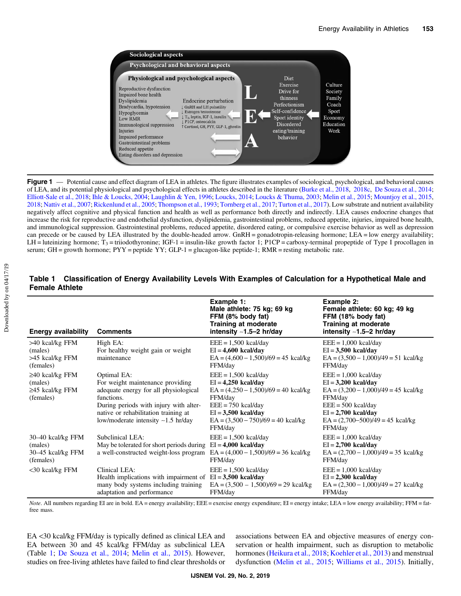<span id="page-1-0"></span>

Figure 1 — Potential cause and effect diagram of LEA in athletes. The figure illustrates examples of sociological, psychological, and behavioral causes of LEA, and its potential physiological and psychological effects in athletes described in the literature [\(Burke et al., 2018,](#page-9-0) [2018c,](#page-9-0) [De Souza et al., 2014;](#page-9-0) [Elliott-Sale et al., 2018;](#page-9-0) [Ihle & Loucks, 2004](#page-10-0); [Laughlin & Yen, 1996;](#page-10-0) [Loucks, 2014;](#page-10-0) [Loucks & Thuma, 2003;](#page-10-0) [Melin et al., 2015](#page-10-0); [Mountjoy et al., 2015,](#page-11-0) [2018;](#page-11-0) [Nattiv et al., 2007](#page-11-0); [Rickenlund et al., 2005;](#page-11-0) [Thompson et al., 1993](#page-11-0); [Tornberg et al., 2017;](#page-11-0) [Turton et al., 2017](#page-12-0)). Low substrate and nutrient availability negatively affect cognitive and physical function and health as well as performance both directly and indirectly. LEA causes endocrine changes that increase the risk for reproductive and endothelial dysfunction, dyslipidemia, gastrointestinal problems, reduced appetite, injuries, impaired bone health, and immunological suppression. Gastrointestinal problems, reduced appetite, disordered eating, or compulsive exercise behavior as well as depression can precede or be caused by LEA illustrated by the double-headed arrow. GnRH = gonadotropin-releasing hormone; LEA = low energy availability; LH = luteinizing hormone;  $T_3$  = triiodothyronine; IGF-1 = insulin-like growth factor 1; P1CP = carboxy-terminal propeptide of Type I procollagen in serum; GH = growth hormone;  $PYY$  = peptide  $YY$ ; GLP-1 = glucagon-like peptide-1; RMR = resting metabolic rate.

| <b>Energy availability</b>                                             | <b>Comments</b>                                                                                                                                                                                                                      | Example 1:<br>Male athlete: 75 kg; 69 kg<br>FFM (8% body fat)<br><b>Training at moderate</b><br>intensity $~1.5-2$ hr/day                                                                                | Example 2:<br>Female athlete: 60 kg; 49 kg<br>FFM (18% body fat)<br><b>Training at moderate</b><br>intensity $~1.5-2$ hr/day                                                                           |
|------------------------------------------------------------------------|--------------------------------------------------------------------------------------------------------------------------------------------------------------------------------------------------------------------------------------|----------------------------------------------------------------------------------------------------------------------------------------------------------------------------------------------------------|--------------------------------------------------------------------------------------------------------------------------------------------------------------------------------------------------------|
| >40 kcal/kg FFM<br>(males)<br>>45 kcal/kg FFM<br>(females)             | High EA:<br>For healthy weight gain or weight<br>maintenance                                                                                                                                                                         | $EEE = 1,500$ kcal/day<br>$EI = 4,600$ kcal/day<br>$EA = (4,600 - 1,500)/69 = 45$ kcal/kg<br>FFM/day                                                                                                     | $EEE = 1,000$ kcal/day<br>$EI = 3,500$ kcal/day<br>$EA = (3,500 - 1,000)/49 = 51$ kcal/kg<br>FFM/day                                                                                                   |
| $\geq$ 40 kcal/kg FFM<br>(males)<br>$\geq$ 45 kcal/kg FFM<br>(females) | Optimal EA:<br>For weight maintenance providing<br>adequate energy for all physiological<br>functions.<br>During periods with injury with alter-<br>native or rehabilitation training at<br>low/moderate intensity $\sim$ 1.5 hr/day | $EEE = 1,500$ kcal/day<br>$EI = 4,250$ kcal/day<br>$EA = (4,250 - 1,500)/69 = 40$ kcal/kg<br>FFM/day<br>$EEE = 750$ kcal/day<br>$EI = 3,500$ kcal/day<br>$EA = (3,500 - 750)/69 = 40$ kcal/kg<br>FFM/day | $EEE = 1,000$ kcal/day<br>$EI = 3,200$ kcal/day<br>$EA = (3,200 - 1,000)/49 = 45$ kcal/kg<br>FFM/day<br>$EEE = 500$ kcal/day<br>$EI = 2,700$ kcal/day<br>$EA = (2,700-500)/49 = 45$ kcal/kg<br>FFM/day |
| 30–40 kcal/kg FFM<br>(males)<br>30–45 kcal/kg FFM<br>(females)         | Subclinical LEA:<br>May be tolerated for short periods during $EI = 4,000$ kcal/day<br>a well-constructed weight-loss program $EA = (4,000 - 1,500)/69 = 36$ kcal/kg                                                                 | $EEE = 1,500$ kcal/day<br>FFM/day                                                                                                                                                                        | $EEE = 1,000$ kcal/day<br>$EI = 2,700$ kcal/day<br>$EA = (2,700 - 1,000)/49 = 35$ kcal/kg<br>FFM/day                                                                                                   |
| $<$ 30 kcal/kg FFM                                                     | Clinical LEA:<br>Health implications with impairment of $EI = 3,500$ kcal/day<br>many body systems including training<br>adaptation and performance                                                                                  | $EEE = 1,500$ kcal/day<br>$EA = (3,500 - 1,500)/69 = 29$ kcal/kg<br>FFM/day                                                                                                                              | $EEE = 1,000$ kcal/day<br>$EI = 2,300$ kcal/day<br>$EA = (2,300 - 1,000)/49 = 27$ kcal/kg<br>FFM/day                                                                                                   |

#### Table 1 Classification of Energy Availability Levels With Examples of Calculation for a Hypothetical Male and Female Athlete

Note. All numbers regarding EI are in bold. EA = energy availability; EEE = exercise energy expenditure; EI = energy intake; LEA = low energy availability; FFM = fatfree mass.

EA <30 kcal/kg FFM/day is typically defined as clinical LEA and EA between 30 and 45 kcal/kg FFM/day as subclinical LEA (Table 1; [De Souza et al., 2014;](#page-9-0) [Melin et al., 2015](#page-10-0)). However, studies on free-living athletes have failed to find clear thresholds or associations between EA and objective measures of energy conservation or health impairment, such as disruption to metabolic hormones [\(Heikura et al., 2018](#page-10-0); [Koehler et al., 2013\)](#page-10-0) and menstrual dysfunction ([Melin et al., 2015](#page-10-0); [Williams et al., 2015\)](#page-12-0). Initially,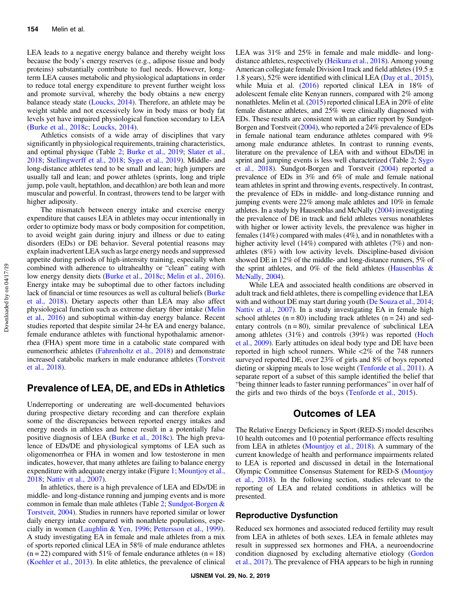LEA leads to a negative energy balance and thereby weight loss because the body's energy reserves (e.g., adipose tissue and body proteins) substantially contribute to fuel needs. However, longterm LEA causes metabolic and physiological adaptations in order to reduce total energy expenditure to prevent further weight loss and promote survival, whereby the body obtains a new energy balance steady state [\(Loucks, 2014\)](#page-10-0). Therefore, an athlete may be weight stable and not excessively low in body mass or body fat levels yet have impaired physiological function secondary to LEA [\(Burke et al., 2018c](#page-9-0); [Loucks, 2014](#page-10-0)).

Athletics consists of a wide array of disciplines that vary significantly in physiological requirements, training characteristics, and optimal physique (Table [2](#page-3-0); [Burke et al., 2019](#page-9-0); [Slater et al.,](#page-11-0) [2018](#page-11-0); [Stellingwerff et al., 2018;](#page-11-0) [Sygo et al., 2019](#page-11-0)). Middle- and long-distance athletes tend to be small and lean; high jumpers are usually tall and lean; and power athletes (sprints, long and triple jump, pole vault, heptathlon, and decathlon) are both lean and more muscular and powerful. In contrast, throwers tend to be larger with higher adiposity.

The mismatch between energy intake and exercise energy expenditure that causes LEA in athletes may occur intentionally in order to optimize body mass or body composition for competition, to avoid weight gain during injury and illness or due to eating disorders (EDs) or DE behavior. Several potential reasons may explain inadvertent LEA such as large energy needs and suppressed appetite during periods of high-intensity training, especially when combined with adherence to ultrahealthy or "clean" eating with low energy density diets ([Burke et al., 2018c](#page-9-0); [Melin et al., 2016](#page-10-0)). Energy intake may be suboptimal due to other factors including lack of financial or time resources as well as cultural beliefs ([Burke](#page-9-0) [et al., 2018\)](#page-9-0). Dietary aspects other than LEA may also affect physiological function such as extreme dietary fiber intake [\(Melin](#page-10-0) [et al., 2016](#page-10-0)) and suboptimal within-day energy balance. Recent studies reported that despite similar 24-hr EA and energy balance, female endurance athletes with functional hypothalamic amenorrhea (FHA) spent more time in a catabolic state compared with eumenorrheic athletes [\(Fahrenholtz et al., 2018\)](#page-9-0) and demonstrate increased catabolic markers in male endurance athletes [\(Torstveit](#page-11-0) [et al., 2018\)](#page-11-0).

## Prevalence of LEA, DE, and EDs in Athletics

Underreporting or undereating are well-documented behaviors during prospective dietary recording and can therefore explain some of the discrepancies between reported energy intakes and energy needs in athletes and hence result in a potentially false positive diagnosis of LEA [\(Burke et al., 2018c](#page-9-0)). The high prevalence of EDs/DE and physiological symptoms of LEA such as oligomenorrhea or FHA in women and low testosterone in men indicates, however, that many athletes are failing to balance energy expenditure with adequate energy intake (Figure [1](#page-1-0); [Mountjoy et al.,](#page-11-0) [2018](#page-11-0); [Nattiv et al., 2007\)](#page-11-0).

In athletics, there is a high prevalence of LEA and EDs/DE in middle- and long-distance running and jumping events and is more common in female than male athletes (Table [2](#page-3-0); [Sundgot-Borgen &](#page-11-0) [Torstveit, 2004\)](#page-11-0). Studies in runners have reported similar or lower daily energy intake compared with nonathlete populations, especially in women [\(Laughlin & Yen, 1996;](#page-10-0) [Pettersson et al., 1999](#page-11-0)). A study investigating EA in female and male athletes from a mix of sports reported clinical LEA in 58% of male endurance athletes  $(n = 22)$  compared with 51% of female endurance athletes  $(n = 18)$ [\(Koehler et al., 2013](#page-10-0)). In elite athletics, the prevalence of clinical

LEA was 31% and 25% in female and male middle- and longdistance athletes, respectively ([Heikura et al., 2018\)](#page-10-0). Among young American collegiate female Division I track and field athletes (19.5  $\pm$ 1.8 years), 52% were identified with clinical LEA [\(Day et al., 2015](#page-9-0)), while Muia et al. ([2016](#page-11-0)) reported clinical LEA in 18% of adolescent female elite Kenyan runners, compared with 2% among nonathletes. Melin et al. [\(2015\)](#page-10-0) reported clinical LEA in 20% of elite female distance athletes, and 25% were clinically diagnosed with EDs. These results are consistent with an earlier report by Sundgot-Borgen and Torstveit [\(2004](#page-11-0)), who reported a 24% prevalence of EDs in female national team endurance athletes compared with 9% among male endurance athletes. In contrast to running events, literature on the prevalence of LEA with and without EDs/DE in sprint and jumping events is less well characterized (Table [2](#page-3-0); [Sygo](#page-11-0) [et al., 2018](#page-11-0)). Sundgot-Borgen and Torstveit ([2004](#page-11-0)) reported a prevalence of EDs in 3% and 6% of male and female national team athletes in sprint and throwing events, respectively. In contrast, the prevalence of EDs in middle- and long-distance running and jumping events were 22% among male athletes and 10% in female athletes. In a study by Hausenblas and McNally [\(2004\)](#page-10-0) investigating the prevalence of DE in track and field athletes versus nonathletes with higher or lower activity levels, the prevalence was higher in females (14%) compared with males (4%), and in nonathletes with a higher activity level (14%) compared with athletes (7%) and nonathletes (8%) with low activity levels. Discipline-based division showed DE in 12% of the middle- and long-distance runners, 5% of the sprint athletes, and 0% of the field athletes (Hausenblas  $\&$ [McNally, 2004\)](#page-10-0).

While LEA and associated health conditions are observed in adult track and field athletes, there is compelling evidence that LEA with and without DE may start during youth [\(De Souza et al., 2014](#page-9-0); [Nattiv et al., 2007\)](#page-11-0). In a study investigating EA in female high school athletes  $(n = 80)$  including track athletes  $(n = 24)$  and sedentary controls  $(n = 80)$ , similar prevalence of subclinical LEA among athletes (31%) and controls (39%) was reported [\(Hoch](#page-10-0) [et al., 2009\)](#page-10-0). Early attitudes on ideal body type and DE have been reported in high school runners. While <2% of the 748 runners surveyed reported DE, over 23% of girls and 8% of boys reported dieting or skipping meals to lose weight ([Tenforde et al., 2011\)](#page-11-0). A separate report of a subset of this sample identified the belief that "being thinner leads to faster running performances" in over half of the girls and two thirds of the boys [\(Tenforde et al., 2015\)](#page-11-0).

## Outcomes of LEA

The Relative Energy Deficiency in Sport (RED-S) model describes 10 health outcomes and 10 potential performance effects resulting from LEA in athletes [\(Mountjoy et al., 2018](#page-11-0)). A summary of the current knowledge of health and performance impairments related to LEA is reported and discussed in detail in the International Olympic Committee Consensus Statement for RED-S ([Mountjoy](#page-11-0) [et al., 2018](#page-11-0)). In the following section, studies relevant to the reporting of LEA and related conditions in athletics will be presented.

#### Reproductive Dysfunction

Reduced sex hormones and associated reduced fertility may result from LEA in athletes of both sexes. LEA in female athletes may result in suppressed sex hormones and FHA, a neuroendocrine condition diagnosed by excluding alternative etiology ([Gordon](#page-10-0) [et al., 2017\)](#page-10-0). The prevalence of FHA appears to be high in running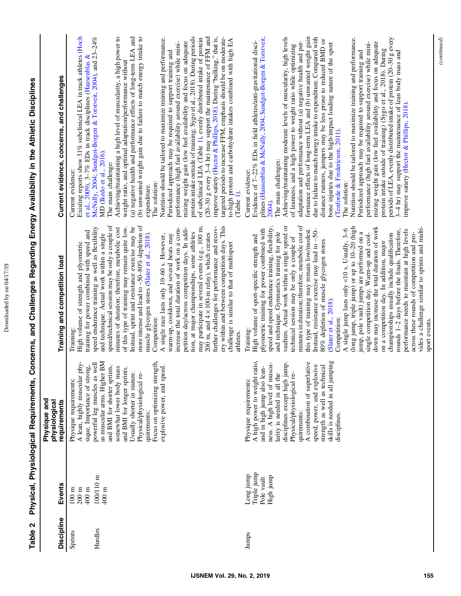| ì |
|---|
|   |

| $\ddot{\phantom{a}}$<br>$\overline{a}$ |
|----------------------------------------|
|                                        |
|                                        |
|                                        |
| $\overline{a}$                         |
|                                        |
| i                                      |
|                                        |
|                                        |
| J                                      |
|                                        |
| :<br>:                                 |
| $\mathbf{r}$<br>$\frac{2}{3}$          |
| <br> <br> <br> <br>                    |
|                                        |
| I                                      |
| í<br>i<br>ĺ<br>í                       |
| l                                      |
| í                                      |
| ļ                                      |
| Í                                      |
| C<br>ı<br>q<br>ត្ត<br>l                |

<span id="page-3-0"></span>

| Discipline | Events                                                   | Physique and<br>physiological<br>requirements                                                                         | Training and competition load                                                                                                                                                                            | Current evidence, concerns, and challenges                                                                                                                                                                                                                                       |
|------------|----------------------------------------------------------|-----------------------------------------------------------------------------------------------------------------------|----------------------------------------------------------------------------------------------------------------------------------------------------------------------------------------------------------|----------------------------------------------------------------------------------------------------------------------------------------------------------------------------------------------------------------------------------------------------------------------------------|
| Sprints    | $400~\mathrm{m}$<br>$200~\mathrm{m}$<br>$100~\mathrm{m}$ | A lean, highly muscular phy-<br>sique. Importance of strong,<br>Physique requirements:                                | training for power combined with speed and<br>High volume of strength and plyometric<br>Training                                                                                                         | Existing reports show 31% subclinical LEA in track athletes (Hoch<br>et al., 2009), 3-7% EDs in track disciplines (Hausenblas &<br>Current evidence:                                                                                                                             |
| Hurdles    | 100/110 m<br>$400~\mathrm{m}$                            | powerful leg muscles as well<br>as muscular arms. Higher BM<br>and BMI for shorter sprints,                           | speed/technical session may be only a couple of<br>speed endurance training as well as flexibility<br>and technique. Actual work within a single                                                         | McNally, 2004; Sundgot-Borgen & Torstveit, 2004), and 23-24%<br>MD (Ikedo et al., 2016).<br>The main challenge:                                                                                                                                                                  |
|            |                                                          | somewhat lower body mass<br>and BMI for longer sprints.<br>Usually shorter in stature.<br>Physical/physiological re-  | more intense and lead to ~50-80% depletion of<br>of this type of training may remain quite low.<br>Instead, sprint and resistance exercise may be<br>minutes of duration; therefore, metabolic cost      | Achieving/maintaining a high level of muscularity, a high power to<br>(a) negative health and performance effects of long-term LEA and<br>(b) unwanted weight gain due to failure to match energy intake to<br>weight ratio, and optimal adaptation/performance without          |
|            |                                                          | Focus on optimizing strength<br>explosive power, and speed.<br>quirements:                                            | increase the total duration of work on a com-<br>muscle glycogen stores (Slater et al., 2018).<br>warm-up, cooldown, and several heats may<br>A single race lasts only 10-60 s. However,<br>Competition: | Nutrition should be tailored to maximize training and performance.<br>performance (high fuel availability around exercise) while mini-<br>Periodized approach may be required to support training and<br>The solution:<br>expenditure.                                           |
|            |                                                          |                                                                                                                       | may participate in several events (e.g., 100 m,<br>petition day/across competition days. In addi-<br>tion, at major championships, some athletes<br>200 m, and $4 \times 100$ -m relay), which creates   | protein intake outside of training; Sygo et al., 2018). During periods<br>(20-30 g every 3-4 hr) may support the maintenance of FFM and<br>of subclinical LEA (Table 1), evenly distributed intake of protein<br>mizing weight gain (low fuel availability and focus on adequate |
|            |                                                          |                                                                                                                       | ery within and between competition days. This<br>further challenges for performance and recov-<br>challenge is similar to that of multisport<br>athletes                                                 | improve satiety (Hector & Phillips, 2018). During "bulking," that is,<br>targeted periods to increase FFM, emphasis should be on moderate-<br>to-high protein and carbohydrate intakes combined with high EA<br>Table 1).                                                        |
| Jumps      | Triple jump<br>quuri guo<br>High jump<br>Pole vault      | A high power to weight ratio<br>ness. A high level of muscu-<br>and in high jump also lean-<br>Physique requirements: | speed and speed endurance training, flexibility,<br>plyometric training for power combined with<br>High volume of sport-specific strength and<br>Training:                                               | plines (Hausenblas & McNally, 2004; Sundgot-Borgen & Torstveit,<br>Evidence of 7-22% EDs in field athletes/anti-gravitational disci-<br>Current evidence:<br>2004).                                                                                                              |
|            |                                                          | disciplines except high jump.<br>larity is needed in all the<br>Physical/physiological re-<br>quirements:             | minutes in duration; therefore, metabolic cost of<br>vaulters. Actual work within a single speed or<br>and technique. Gymnastics training for pole<br>technical session may be only a couple of          | Achieving/maintaining moderate levels of muscularity, high levels<br>adaptation and performance without (a) negative health and per-<br>of leanness, and a high power to weight ratio while optimizing<br>The main challenges:                                                   |
|            |                                                          | A combination of superlative<br>speed, power, and explosive<br>strength as well as technical                          | this type of training may remain low/modest.<br>Instead, resistance exercise may lead to ~50-<br>80% depletion of muscle glycogen stores                                                                 | formance effects of long-term LEA and (b) unwanted weight gain<br>due to failure to match energy intake to expenditure. Compared with<br>distance runners, jumpers may be less prone to reduced BMD or                                                                           |
|            |                                                          | skills is needed in all jumping<br>disciplines.                                                                       | (long jump, triple jump) or up to 10-20 (high<br>A single jump lasts only <10 s. Usually, $3-6$<br>(Slater et al., 2018).<br>Competition:                                                                | Nutrition should be tailored to maximize training and performance.<br>bone injuries due to the high-impact loading nature of the sport<br>(Tenforde & Fredericson, 2011).<br>The solution:                                                                                       |
|            |                                                          |                                                                                                                       | down may increase the total duration of work<br>jump, pole vault) jumps are performed on a<br>single competition day. Warm-up and cool-                                                                  | mizing weight gain (low fuel availability and focus on adequate<br>performance (high fuel availability around exercise) while mini-<br>Periodized approach may be required to support training and                                                                               |
|            |                                                          |                                                                                                                       | championships usually include qualification<br>on a competition day. In addition, major                                                                                                                  | periods of LEA, evenly distributed intake of protein (20-30 g every<br>protein intake outside of training) (Sygo et al., 2018). During                                                                                                                                           |
|            |                                                          |                                                                                                                       | performance needs to maintain at high levels<br>rounds 1-2 days before the finals. Therefore,<br>across these rounds of competition and pro-                                                             | 3-4 hr) may support the maintenance of lean body mass and<br>improve satiety (Hector & Phillips, 2018).                                                                                                                                                                          |
|            |                                                          |                                                                                                                       | vides a challenge similar to sprints and multi-<br>sport events.                                                                                                                                         |                                                                                                                                                                                                                                                                                  |

(continued)

 $\label{eq:constrained} (continued)$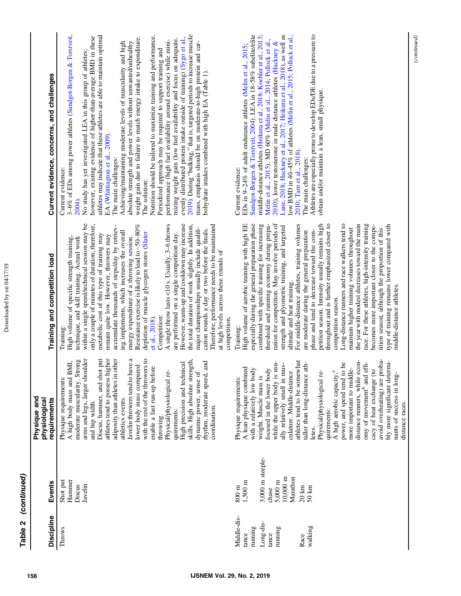| Discipline                                                                          | Events                                                                                                                                                   | Physique and<br>physiological<br>requirements                                                                                                                                                                                                                                                                                                                                                                                                                                                                                                                                                                                                                                                     | Training and competition load                                                                                                                                                                                                                                                                                                                                                                                                                                                                                                                                                                                                                                                                                                                                                                                                                                                                                                                                                                                     | Current evidence, concerns, and challenges                                                                                                                                                                                                                                                                                                                                                                                                                                                                                                                                                                                                                                                                                                                                                                                                                                                                                                                                                                                                                                                                                                      |
|-------------------------------------------------------------------------------------|----------------------------------------------------------------------------------------------------------------------------------------------------------|---------------------------------------------------------------------------------------------------------------------------------------------------------------------------------------------------------------------------------------------------------------------------------------------------------------------------------------------------------------------------------------------------------------------------------------------------------------------------------------------------------------------------------------------------------------------------------------------------------------------------------------------------------------------------------------------------|-------------------------------------------------------------------------------------------------------------------------------------------------------------------------------------------------------------------------------------------------------------------------------------------------------------------------------------------------------------------------------------------------------------------------------------------------------------------------------------------------------------------------------------------------------------------------------------------------------------------------------------------------------------------------------------------------------------------------------------------------------------------------------------------------------------------------------------------------------------------------------------------------------------------------------------------------------------------------------------------------------------------|-------------------------------------------------------------------------------------------------------------------------------------------------------------------------------------------------------------------------------------------------------------------------------------------------------------------------------------------------------------------------------------------------------------------------------------------------------------------------------------------------------------------------------------------------------------------------------------------------------------------------------------------------------------------------------------------------------------------------------------------------------------------------------------------------------------------------------------------------------------------------------------------------------------------------------------------------------------------------------------------------------------------------------------------------------------------------------------------------------------------------------------------------|
| Throws                                                                              | Hammer<br>Shot put<br>Discus<br>Javelin                                                                                                                  | put<br>arms and legs, larger shoulder<br>athletes tend to possess higher<br>adiposity than athletes in other<br>Javelin throwers tend to have a<br>with the rest of the throwers to<br>moderate muscularity. Strong<br>skills. High absolute strength,<br>rhythm, moderate speed, and<br>A high body mass and BMI,<br>High precision and technical<br>lower body mass compared<br>enable a fast run-up before<br>Discus, hammer, and shot<br>Physical/physiological re-<br>dynamic power, sense of<br>Physique requirements:<br>athletics events.<br>and hip width.<br>coordination.<br>quirements:<br>throwing.                                                                                  | within a single speed/technical session may be<br>A single throw lasts <10 s. Usually, 3-6 throws<br>However, warm-up and cooldown may increase<br>the total duration of work slightly. In addition,<br>only a couple of minutes of duration; therefore,<br>Resistance exercise is likely to lead to ~50-80%<br>Therefore, performance needs to be maintained<br>accumulate thousands of steps/day by retriev-<br>major championships usually include qualifi-<br>cation rounds a day or two before the finals.<br>ing implements, which increases the overall<br>are performed on a single competition day.<br>depletion of muscle glycogen stores (Slater<br>metabolic cost of this type of training may<br>remain quite low. However, throwers may<br>energy expenditure of a throwing session.<br>technique, and skill training. Actual work<br>High volume of specific strength training,<br>at high levels across these rounds of<br>et al., 2018).<br>Competition:<br>competition.<br>Training             | 3-6% of EDs among power athletes (Sundgot-Borgen & Torstveit,<br>2019). During "bulking," that is, targeted periods to increase muscle<br>athletes may indicate that these athletes are able to maintain optimal<br>Nutrition should be tailored to maximize training and performance.<br>evenly distributed protein intake outside of training) (Sygo et al.,<br>however, existing evidence of higher-than-average BMD in these<br>weight gain due to failure to match energy intake to expenditure.<br>mizing weight gain (low fuel availability and focus on adequate,<br>performance (high fuel availability around exercise) while mini-<br>mass, emphasis should be on moderate-to-high protein and car-<br>absolute strength and power levels without unwanted/unhealthy<br>Achieving/maintaining moderate levels of muscularity and high<br>Periodized approach may be required to support training and<br>No study has yet investigated LEA in this group of athletes;<br>bohydrate intakes combined with high EA (Table 1).<br>EA (Whittington et al., 2009).<br>The main challenges:<br>Current evidence:<br>The solution:<br>2004). |
| Middle-dis-<br>Long-dis-<br>walking<br>running<br>running<br>tance<br>tance<br>Race | 3,000 m steeple-<br>Marathon<br>$10,000 \text{ m}$<br>5,000 m<br>$1,500 \text{ m}$<br>$20 \text{ km}$<br>$800 \text{ m}$<br>$50 \; \mathrm{km}$<br>chase | avoid overheating) are proba-<br>distance runners, while econ-<br>athletes tend to be somewhat<br>bly more significant determi-<br>while the upper body is usu-<br>omy of movement <sup>b</sup> and effi-<br>taller than long-distance ath-<br>g<br>ally relatively small in mus-<br>A lean physique combined<br>with a relatively low body<br>focused in the lower body<br>more important to middle-<br>cacy of heat exchange (to<br>power, and speed tend to I<br>A high aerobic capacity, <sup>a</sup><br>Physical/physiological re-<br>culature. Middle-distance<br>nants of success in long-<br>weight. Muscle mass is<br>Physique requirements:<br>distance races.<br>quirements:<br>letes. | ration for competition. May involve periods of<br>Long-distance runners and race walkers tend to<br>the year with modest decreases toward the main<br>High volume of aerobic training with high EE<br>especially during the general preparation phase<br>For middle-distance athletes, training volumes<br>petition season. Intensity usually remains high<br>throughout and is further emphasized closer to<br>race. For these athletes, high-intensity training<br>threshold and running economy during prepa-<br>combined with specific training for increasing<br>becomes more important closer to the compe-<br>type of training remains lower compared with<br>strength and plyometric training, and targeted<br>maintain higher training volumes throughout<br>tition season, although the proportion of this<br>phase and tend to decrease toward the com-<br>are moderate during the general preparation<br>altitude and heat training.<br>middle-distance athletes.<br>competition season.<br>Training: | Lane, 2018; Hackney et al., 2017; Heikura et al., 2018), as well as<br>low BMD in $40-45\%$ of athletes (Melin et al., 2015; Pollock et al.,<br>Athletes are especially prone to develop EDs/DE due to a pressure to<br>Sundgot-Borgen & Torstveit, 2004). LEA in 18-58% subelite/elite<br>middle-distance athletes (Heikura et al., 2018; Koehler et al., 2013;<br>Melin et al., 2015). MD 60% (Melin et al., 2014; Pollock et al.,<br>2010), lower testosterone in male distance athletes (Hackney &<br>EDs in 9-24% of adult endurance athletes (Melin et al., 2015;<br>obtain and/or maintain a lean, small physique.<br>2010; Tam et al., 2018).<br>The main challenges:<br>Current evidence:                                                                                                                                                                                                                                                                                                                                                                                                                                              |
|                                                                                     |                                                                                                                                                          |                                                                                                                                                                                                                                                                                                                                                                                                                                                                                                                                                                                                                                                                                                   |                                                                                                                                                                                                                                                                                                                                                                                                                                                                                                                                                                                                                                                                                                                                                                                                                                                                                                                                                                                                                   | (continued)                                                                                                                                                                                                                                                                                                                                                                                                                                                                                                                                                                                                                                                                                                                                                                                                                                                                                                                                                                                                                                                                                                                                     |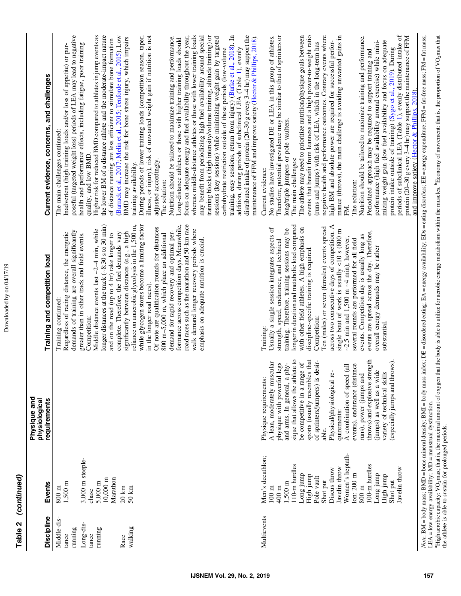| Discipline                      | Events                                                                                                                                                                                                                                                                                                            | Physique and<br>physiological<br>requirements                                                                                                                                                                                                                                                                                                                                                                                                                                                                                                    | Training and competition load                                                                                                                                                                                                                                                                                                                                                                                                                                                                                                                                                                                                                                                                                                    | Current evidence, concerns, and challenges                                                                                                                                                                                                                                                                                                                                                                                                                                                                                                                                                                                                                                                                                                                                                                                                                                                                                                                                                                                                                                                                                                                                                                                   |
|---------------------------------|-------------------------------------------------------------------------------------------------------------------------------------------------------------------------------------------------------------------------------------------------------------------------------------------------------------------|--------------------------------------------------------------------------------------------------------------------------------------------------------------------------------------------------------------------------------------------------------------------------------------------------------------------------------------------------------------------------------------------------------------------------------------------------------------------------------------------------------------------------------------------------|----------------------------------------------------------------------------------------------------------------------------------------------------------------------------------------------------------------------------------------------------------------------------------------------------------------------------------------------------------------------------------------------------------------------------------------------------------------------------------------------------------------------------------------------------------------------------------------------------------------------------------------------------------------------------------------------------------------------------------|------------------------------------------------------------------------------------------------------------------------------------------------------------------------------------------------------------------------------------------------------------------------------------------------------------------------------------------------------------------------------------------------------------------------------------------------------------------------------------------------------------------------------------------------------------------------------------------------------------------------------------------------------------------------------------------------------------------------------------------------------------------------------------------------------------------------------------------------------------------------------------------------------------------------------------------------------------------------------------------------------------------------------------------------------------------------------------------------------------------------------------------------------------------------------------------------------------------------------|
| Middle-dis-<br>running<br>tance | $1,500 \; \text{m}$<br>$800 \text{ m}$                                                                                                                                                                                                                                                                            |                                                                                                                                                                                                                                                                                                                                                                                                                                                                                                                                                  | demands of training are overall significantly<br>Regardless of racing distance, the energetic<br>Training continued:                                                                                                                                                                                                                                                                                                                                                                                                                                                                                                                                                                                                             | poseful (targeted weight loss) periods of LEA may lead to negative<br>Inadvertent (high training loads and/or loss of appetite) or pur-<br>The main challenges continued:                                                                                                                                                                                                                                                                                                                                                                                                                                                                                                                                                                                                                                                                                                                                                                                                                                                                                                                                                                                                                                                    |
| Long-dis-<br>running<br>tance   | 3,000 m steeple-<br>$10,000 \; \mathrm{m}$<br>Marathon<br>$5,000 \text{ m}$<br>chase                                                                                                                                                                                                                              |                                                                                                                                                                                                                                                                                                                                                                                                                                                                                                                                                  | longer distances at the track $(-8:30 \text{ s to } 30 \text{ min})$<br>Middle distance events last $\sim$ 2 $-4$ min, while<br>and on the road (up to 4 hr) take longer to<br>greater than in other track and field events.<br>Competition:                                                                                                                                                                                                                                                                                                                                                                                                                                                                                     | the lower BM of a distance athlete and the moderate-impact nature<br>Higher risk for reduced BMD compared to athletes in jump events as<br>of distance running are less efficient to stimulate bone formation<br>health and performance effects, including fatigue, poor training<br>quality, and low BMD.                                                                                                                                                                                                                                                                                                                                                                                                                                                                                                                                                                                                                                                                                                                                                                                                                                                                                                                   |
| walking<br>Race                 | $20\;{\rm km}$<br>$50 \text{ km}$                                                                                                                                                                                                                                                                                 |                                                                                                                                                                                                                                                                                                                                                                                                                                                                                                                                                  | while glycogen stores become a limiting factor<br>reliance on anaerobic glycolysis in the 1,500 m,<br>Of note are qualification rounds for distances<br>significantly between distances (e.g., a high<br>demand for rapid recovery and optimal per-<br>complete. Therefore, the fuel demands vary<br>800 m-5,000 m, which place an additional<br>in the longer road races).                                                                                                                                                                                                                                                                                                                                                      | illness, or injury), risk of unwanted weight gain if nutrition is not<br>(Barrack et al., 2017; Melin et al., 2015; Tenforde et al., 2015). Low<br>During periods of lower training loads (competition season, taper,<br>BMD may increase the risk for bone stress injury, which impairs<br>Nutrition should be tailored to maximize training and performance.<br>adjusted accordingly.<br>training availability.<br>The solution:                                                                                                                                                                                                                                                                                                                                                                                                                                                                                                                                                                                                                                                                                                                                                                                           |
|                                 |                                                                                                                                                                                                                                                                                                                   |                                                                                                                                                                                                                                                                                                                                                                                                                                                                                                                                                  | road races such as the marathon and 50-km race<br>formance across competition days. Meanwhile,<br>walk demand longer recovery periods where<br>emphasis on adequate nutrition is crucial.                                                                                                                                                                                                                                                                                                                                                                                                                                                                                                                                        | focus on adequate energy and fuel availability throughout the year,<br>whereas middle-distance athletes or those with lower training loads<br>training, easy sessions, return from injury) (Burke et al., 2018). In<br>may benefit from periodizing high fuel availability around special<br>training blocks (high intensity/volume training, altitude training) or<br>distributed intake of protein (20-30 g every 3-4 hr) may support the<br>maintenance of FFM and improve satiety (Hector & Phillips, 2018).<br>sessions (key sessions) while minimizing weight gain by targeted<br>Long-distance athletes or those with higher training loads should<br>addition, during periods of subclinical LEA (Table 1), evenly<br>carbohydrate restriction outside of these periods (low-volume                                                                                                                                                                                                                                                                                                                                                                                                                                  |
| Multievents                     | Women's heptath-<br>Men's decathlon;<br>10-m hurdles<br>100-m hurdles<br>Javelin throw<br>Javelin throw<br>Discus throw<br>$lon: 200$ m<br>dunif auo<br>Long jump<br>High jump<br>High jump<br>Pole vault<br>Shot put<br>Shot put<br>$1,500 \text{ m}$<br>$800~\mathrm{m}$<br>$100~\mathrm{m}$<br>$400 \text{ m}$ | sique that allows the athlete to<br>sports (usually resembles that<br>ıgtl<br>of sprinters/jumpers) is desir-<br>especially jumps and throws).<br>A lean, moderately muscular<br>be competitive in a range of<br>and arms. In general, a phy-<br>physique with powerful legs<br>events), endurance (distance<br>A combination of speed (all<br>throws) and explosive stren<br>jumps) as well as a wide<br>Physical/physiological re-<br>variety of technical skills<br>runs), power (jumps and<br>Physique requirements:<br>quirements:<br>able. | longer in duration and metabolic load compared<br>across two consecutive days of competition. A<br>with other field athletes. A high emphasis on<br>Ten (males) or seven (females) events spread<br>Usually a single session integrates aspects of<br>training. Therefore, training sessions may be<br>single bout of work is usually $\lt 10$ s (800 m<br>events are spread across the day. Therefore,<br>events. Competition day is usually long as<br>$-2.5$ min and 1,500 m $-4$ min); however,<br>several rounds are performed for all field<br>strength, speed, endurance, and technical<br>overall energy demands may be rather<br>discipline-specific training is required.<br>Competition:<br>substantial.<br>Training: | protein intake outside of training) (Sygo et al., 2019). During<br>periods of subclinical LEA (Table 1), evenly distributed intake of<br>Therefore, potential prevalence may be similar to that of sprinters or<br>events that benefit from leanness and a high power-to-weight ratio<br>protein (20-30 g every 3-4 hr) may support the maintenance of FFM<br>No studies have investigated DE or LEA in this group of athletes.<br>The athlete may need to prioritize nutrition/physique goals between<br>negative health and performance outcomes. Contrary events where<br>mance (throws), the main challenge is avoiding unwanted gains in<br>Nutrition should be tailored to maximize training and performance.<br>high BM and absolute power are required for successful perfor-<br>performance (high fuel availability around exercise) while mini-<br>mizing weight gain (low fuel availability and focus on adequate<br>(runs and jumps) with risk of LEA, which in the long-term has<br>Periodized approach may be required to support training and<br>and improve satiety (Hector & Phillips, 2018).<br>long/triple jumpers or pole vaulters.<br>The main challenges:<br>Current evidence:<br>The solution:<br>FM. |
|                                 | $LEA = low$ energy availability; MD = menstrual dysfunction.                                                                                                                                                                                                                                                      |                                                                                                                                                                                                                                                                                                                                                                                                                                                                                                                                                  |                                                                                                                                                                                                                                                                                                                                                                                                                                                                                                                                                                                                                                                                                                                                  | Note. BM = body mass; BMD = bone mineral density; BMI = body mass index; DE = disordered eating: EA = energy availability; EDs = eating disorders; EE = energy expenditure; FFM = fat-free mass; FM = fat mass;                                                                                                                                                                                                                                                                                                                                                                                                                                                                                                                                                                                                                                                                                                                                                                                                                                                                                                                                                                                                              |

Table 2 (continued)

Table 2 (continued)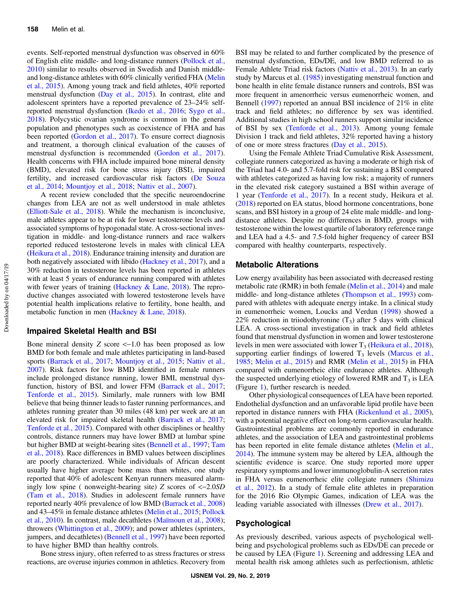events. Self-reported menstrual dysfunction was observed in 60% of English elite middle- and long-distance runners ([Pollock et al.,](#page-11-0) [2010](#page-11-0)) similar to results observed in Swedish and Danish middleand long-distance athletes with 60% clinically verified FHA [\(Melin](#page-10-0) [et al., 2015\)](#page-10-0). Among young track and field athletes, 40% reported menstrual dysfunction ([Day et al., 2015\)](#page-9-0). In contrast, elite and adolescent sprinters have a reported prevalence of 23–24% selfreported menstrual dysfunction [\(Ikedo et al., 2016](#page-10-0); [Sygo et al.,](#page-11-0) [2018](#page-11-0)). Polycystic ovarian syndrome is common in the general population and phenotypes such as coexistence of FHA and has been reported ([Gordon et al., 2017\)](#page-10-0). To ensure correct diagnosis and treatment, a thorough clinical evaluation of the causes of menstrual dysfunction is recommended [\(Gordon et al., 2017](#page-10-0)). Health concerns with FHA include impaired bone mineral density (BMD), elevated risk for bone stress injury (BSI), impaired fertility, and increased cardiovascular risk factors [\(De Souza](#page-9-0) [et al., 2014;](#page-9-0) [Mountjoy et al., 2018](#page-11-0); [Nattiv et al., 2007](#page-11-0)).

A recent review concluded that the specific neuroendocrine changes from LEA are not as well understood in male athletes [\(Elliott-Sale et al., 2018](#page-9-0)). While the mechanism is inconclusive, male athletes appear to be at risk for lower testosterone levels and associated symptoms of hypogonadal state. A cross-sectional investigation in middle- and long-distance runners and race walkers reported reduced testosterone levels in males with clinical LEA [\(Heikura et al., 2018\)](#page-10-0). Endurance training intensity and duration are both negatively associated with libido [\(Hackney et al., 2017\)](#page-10-0), and a 30% reduction in testosterone levels has been reported in athletes with at least 5 years of endurance running compared with athletes with fewer years of training ([Hackney & Lane, 2018\)](#page-10-0). The reproductive changes associated with lowered testosterone levels have potential health implications relative to fertility, bone health, and metabolic function in men ([Hackney & Lane, 2018\)](#page-10-0).

#### Impaired Skeletal Health and BSI

Bone mineral density Z score  $\leq$ -1.0 has been proposed as low BMD for both female and male athletes participating in land-based sports [\(Barrack et al., 2017](#page-9-0); [Mountjoy et al., 2015](#page-11-0); [Nattiv et al.,](#page-11-0) [2007](#page-11-0)). Risk factors for low BMD identified in female runners include prolonged distance running, lower BMI, menstrual dys-function, history of BSI, and lower FFM ([Barrack et al., 2017](#page-9-0); [Tenforde et al., 2015\)](#page-11-0). Similarly, male runners with low BMI believe that being thinner leads to faster running performances, and athletes running greater than 30 miles (48 km) per week are at an elevated risk for impaired skeletal health [\(Barrack et al., 2017](#page-9-0); [Tenforde et al., 2015](#page-11-0)). Compared with other disciplines or healthy controls, distance runners may have lower BMD at lumbar spine but higher BMD at weight-bearing sites ([Bennell et al., 1997;](#page-9-0) [Tam](#page-11-0) [et al., 2018](#page-11-0)). Race differences in BMD values between disciplines are poorly characterized. While individuals of African descent usually have higher average bone mass than whites, one study reported that 40% of adolescent Kenyan runners measured alarmingly low spine ( nonweight-bearing site) Z scores of <−2.0SD [\(Tam et al., 2018\)](#page-11-0). Studies in adolescent female runners have reported nearly 40% prevalence of low BMD ([Barrack et al., 2008\)](#page-9-0) and 43–45% in female distance athletes [\(Melin et al., 2015](#page-10-0); [Pollock](#page-11-0) [et al., 2010](#page-11-0)). In contrast, male decathletes [\(Maïmoun et al., 2008](#page-10-0)); throwers ([Whittington et al., 2009\)](#page-12-0); and power athletes (sprinters, jumpers, and decathletes) ([Bennell et al., 1997\)](#page-9-0) have been reported to have higher BMD than healthy controls.

Bone stress injury, often referred to as stress fractures or stress reactions, are overuse injuries common in athletics. Recovery from BSI may be related to and further complicated by the presence of menstrual dysfunction, EDs/DE, and low BMD referred to as Female Athlete Triad risk factors ([Nattiv et al., 2013](#page-11-0)). In an early study by Marcus et al. ([1985\)](#page-10-0) investigating menstrual function and bone health in elite female distance runners and controls, BSI was more frequent in amenorrheic versus eumenorrheic women, and Bennell [\(1997](#page-9-0)) reported an annual BSI incidence of 21% in elite track and field athletes; no difference by sex was identified. Additional studies in high school runners support similar incidence of BSI by sex [\(Tenforde et al., 2013\)](#page-11-0). Among young female Division 1 track and field athletes, 32% reported having a history of one or more stress fractures ([Day et al., 2015](#page-9-0)).

Using the Female Athlete Triad Cumulative Risk Assessment, collegiate runners categorized as having a moderate or high risk of the Triad had 4.0- and 5.7-fold risk for sustaining a BSI compared with athletes categorized as having low risk; a majority of runners in the elevated risk category sustained a BSI within average of 1 year [\(Tenforde et al., 2017](#page-11-0)). In a recent study, Heikura et al. [\(2018](#page-10-0)) reported on EA status, blood hormone concentrations, bone scans, and BSI history in a group of 24 elite male middle- and longdistance athletes. Despite no differences in BMD, groups with testosterone within the lowest quartile of laboratory reference range and LEA had a 4.5- and 7.5-fold higher frequency of career BSI compared with healthy counterparts, respectively.

#### Metabolic Alterations

Low energy availability has been associated with decreased resting metabolic rate (RMR) in both female ([Melin et al., 2014\)](#page-10-0) and male middle- and long-distance athletes ([Thompson et al., 1993](#page-11-0)) compared with athletes with adequate energy intake. In a clinical study in eumenorrheic women, Loucks and Verdun [\(1998](#page-10-0)) showed a 22% reduction in triiodothyronine  $(T_3)$  after 5 days with clinical LEA. A cross-sectional investigation in track and field athletes found that menstrual dysfunction in women and lower testosterone levels in men were associated with lower  $T_3$  [\(Heikura et al., 2018](#page-10-0)), supporting earlier findings of lowered  $T_3$  levels ([Marcus et al.,](#page-10-0) [1985](#page-10-0); [Melin et al., 2015](#page-10-0)) and RMR [\(Melin et al., 2015](#page-10-0)) in FHA compared with eumenorrheic elite endurance athletes. Although the suspected underlying etiology of lowered RMR and  $T_3$  is LEA (Figure [1](#page-1-0)), further research is needed.

Other physiological consequences of LEA have been reported. Endothelial dysfunction and an unfavorable lipid profile have been reported in distance runners with FHA ([Rickenlund et al., 2005](#page-11-0)), with a potential negative effect on long-term cardiovascular health. Gastrointestinal problems are commonly reported in endurance athletes, and the association of LEA and gastrointestinal problems has been reported in elite female distance athletes ([Melin et al.,](#page-10-0) [2014](#page-10-0)). The immune system may be altered by LEA, although the scientific evidence is scarce. One study reported more upper respiratory symptoms and lower immunoglobulin-A secretion rates in FHA versus eumenorrheic elite collegiate runners ([Shimizu](#page-11-0) [et al., 2012](#page-11-0)). In a study of female elite athletes in preparation for the 2016 Rio Olympic Games, indication of LEA was the leading variable associated with illnesses [\(Drew et al., 2017\)](#page-9-0).

#### Psychological

As previously described, various aspects of psychological wellbeing and psychological problems such as EDs/DE can precede or be caused by LEA (Figure [1](#page-1-0)). Screening and addressing LEA and mental health risk among athletes such as perfectionism, athletic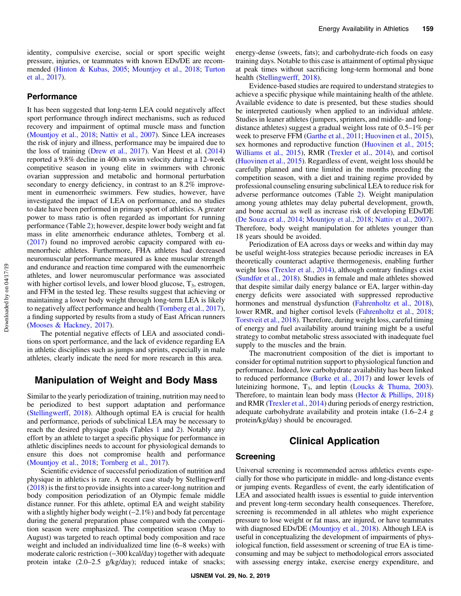#### **Performance**

It has been suggested that long-term LEA could negatively affect sport performance through indirect mechanisms, such as reduced recovery and impairment of optimal muscle mass and function [\(Mountjoy et al., 2018](#page-11-0); [Nattiv et al., 2007](#page-11-0)). Since LEA increases the risk of injury and illness, performance may be impaired due to the loss of training [\(Drew et al., 2017\)](#page-9-0). Van Heest et al. ([2014\)](#page-12-0) reported a 9.8% decline in 400-m swim velocity during a 12-week competitive season in young elite in swimmers with chronic ovarian suppression and metabolic and hormonal perturbation secondary to energy deficiency, in contrast to an 8.2% improvement in eumenorrheic swimmers. Few studies, however, have investigated the impact of LEA on performance, and no studies to date have been performed in primary sport of athletics. A greater power to mass ratio is often regarded as important for running performance (Table [2\)](#page-3-0); however, despite lower body weight and fat mass in elite amenorrheic endurance athletes, Tornberg et al. [\(2017](#page-11-0)) found no improved aerobic capacity compared with eumenorrheic athletes. Furthermore, FHA athletes had decreased neuromuscular performance measured as knee muscular strength and endurance and reaction time compared with the eumenorrheic athletes, and lower neuromuscular performance was associated with higher cortisol levels, and lower blood glucose,  $T_3$ , estrogen, and FFM in the tested leg. These results suggest that achieving or maintaining a lower body weight through long-term LEA is likely to negatively affect performance and health [\(Tornberg et al., 2017](#page-11-0)), a finding supported by results from a study of East African runners [\(Mooses & Hackney, 2017\)](#page-11-0).

The potential negative effects of LEA and associated conditions on sport performance, and the lack of evidence regarding EA in athletic disciplines such as jumps and sprints, especially in male athletes, clearly indicate the need for more research in this area.

## Manipulation of Weight and Body Mass

Similar to the yearly periodization of training, nutrition may need to be periodized to best support adaptation and performance [\(Stellingwerff, 2018](#page-11-0)). Although optimal EA is crucial for health and performance, periods of subclinical LEA may be necessary to reach the desired physique goals (Tables [1](#page-1-0) and [2](#page-3-0)). Notably any effort by an athlete to target a specific physique for performance in athletic disciplines needs to account for physiological demands to ensure this does not compromise health and performance [\(Mountjoy et al., 2018;](#page-11-0) [Tornberg et al., 2017\)](#page-11-0).

Scientific evidence of successful periodization of nutrition and physique in athletics is rare. A recent case study by Stellingwerff [\(2018](#page-11-0)) is the first to provide insights into a career-long nutrition and body composition periodization of an Olympic female middle distance runner. For this athlete, optimal EA and weight stability with a slightly higher body weight (∼2.1%) and body fat percentage during the general preparation phase compared with the competition season were emphasized. The competition season (May to August) was targeted to reach optimal body composition and race weight and included an individualized time line (6–8 weeks) with moderate caloric restriction (−300 kcal/day) together with adequate protein intake (2.0–2.5 g/kg/day); reduced intake of snacks; energy-dense (sweets, fats); and carbohydrate-rich foods on easy training days. Notable to this case is attainment of optimal physique at peak times without sacrificing long-term hormonal and bone health ([Stellingwerff, 2018\)](#page-11-0).

Evidence-based studies are required to understand strategies to achieve a specific physique while maintaining health of the athlete. Available evidence to date is presented, but these studies should be interpreted cautiously when applied to an individual athlete. Studies in leaner athletes (jumpers, sprinters, and middle- and longdistance athletes) suggest a gradual weight loss rate of 0.5–1% per week to preserve FFM [\(Garthe et al., 2011](#page-9-0); [Huovinen et al., 2015](#page-10-0)), sex hormones and reproductive function [\(Huovinen et al., 2015](#page-10-0); [Williams et al., 2015\)](#page-12-0), RMR ([Trexler et al., 2014\)](#page-12-0), and cortisol [\(Huovinen et al., 2015](#page-10-0)). Regardless of event, weight loss should be carefully planned and time limited in the months preceding the competition season, with a diet and training regime provided by professional counseling ensuring subclinical LEA to reduce risk for adverse performance outcomes (Table [2\)](#page-3-0). Weight manipulation among young athletes may delay pubertal development, growth, and bone accrual as well as increase risk of developing EDs/DE [\(De Souza et al., 2014;](#page-9-0) [Mountjoy et al., 2018](#page-11-0); [Nattiv et al., 2007](#page-11-0)). Therefore, body weight manipulation for athletes younger than 18 years should be avoided.

Periodization of EA across days or weeks and within day may be useful weight-loss strategies because periodic increases in EA theoretically counteract adaptive thermogenesis, enabling further weight loss [\(Trexler et al., 2014\)](#page-12-0), although contrary findings exist [\(Sundfør et al., 2018\)](#page-11-0). Studies in female and male athletes showed that despite similar daily energy balance or EA, larger within-day energy deficits were associated with suppressed reproductive hormones and menstrual dysfunction ([Fahrenholtz et al., 2018](#page-9-0)), lower RMR, and higher cortisol levels [\(Fahrenholtz et al., 2018](#page-9-0); [Torstveit et al., 2018\)](#page-11-0). Therefore, during weight loss, careful timing of energy and fuel availability around training might be a useful strategy to combat metabolic stress associated with inadequate fuel supply to the muscles and the brain.

The macronutrient composition of the diet is important to consider for optimal nutrition support to physiological function and performance. Indeed, low carbohydrate availability has been linked to reduced performance [\(Burke et al., 2017](#page-9-0)) and lower levels of luteinizing hormone,  $T_3$ , and leptin ([Loucks & Thuma, 2003](#page-10-0)). Therefore, to maintain lean body mass ([Hector & Phillips, 2018\)](#page-10-0) and RMR ([Trexler et al., 2014](#page-12-0)) during periods of energy restriction, adequate carbohydrate availability and protein intake (1.6–2.4 g protein/kg/day) should be encouraged.

## Clinical Application

#### Screening

Universal screening is recommended across athletics events especially for those who participate in middle- and long-distance events or jumping events. Regardless of event, the early identification of LEA and associated health issues is essential to guide intervention and prevent long-term secondary health consequences. Therefore, screening is recommended in all athletes who might experience pressure to lose weight or fat mass, are injured, or have teammates with diagnosed EDs/DE [\(Mountjoy et al., 2018\)](#page-11-0). Although LEA is useful in conceptualizing the development of impairments of physiological function, field assessment or screening of true EA is timeconsuming and may be subject to methodological errors associated with assessing energy intake, exercise energy expenditure, and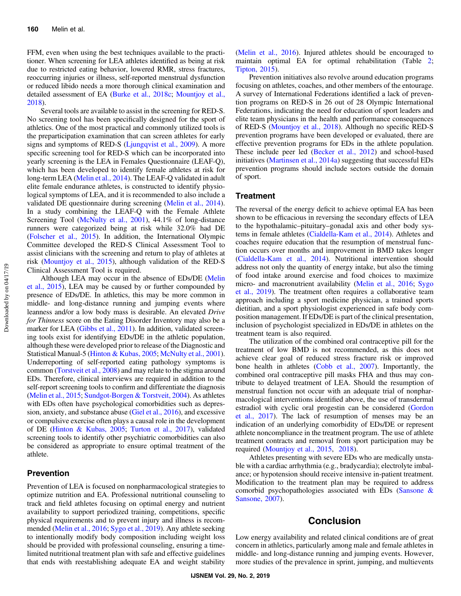FFM, even when using the best techniques available to the practitioner. When screening for LEA athletes identified as being at risk due to restricted eating behavior, lowered RMR, stress fractures, reoccurring injuries or illness, self-reported menstrual dysfunction or reduced libido needs a more thorough clinical examination and detailed assessment of EA [\(Burke et al., 2018c;](#page-9-0) [Mountjoy et al.,](#page-11-0) [2018\)](#page-11-0).

Several tools are available to assist in the screening for RED-S. No screening tool has been specifically designed for the sport of athletics. One of the most practical and commonly utilized tools is the preparticipation examination that can screen athletes for early signs and symptoms of RED-S ([Ljungqvist et al., 2009](#page-10-0)). A more specific screening tool for RED-S which can be incorporated into yearly screening is the LEA in Females Questionnaire (LEAF-Q), which has been developed to identify female athletes at risk for long-term LEA [\(Melin et al., 2014\)](#page-10-0). The LEAF-Q validated in adult elite female endurance athletes, is constructed to identify physiological symptoms of LEA, and it is recommended to also include a validated DE questionnaire during screening [\(Melin et al., 2014](#page-10-0)). In a study combining the LEAF-Q with the Female Athlete Screening Tool ([McNulty et al., 2001](#page-10-0)), 44.1% of long-distance runners were categorized being at risk while 32.0% had DE [\(Folscher et al., 2015\)](#page-9-0). In addition, the International Olympic Committee developed the RED-S Clinical Assessment Tool to assist clinicians with the screening and return to play of athletes at risk [\(Mountjoy et al., 2015](#page-11-0)), although validation of the RED-S Clinical Assessment Tool is required.

Although LEA may occur in the absence of EDs/DE ([Melin](#page-10-0) [et al., 2015](#page-10-0)), LEA may be caused by or further compounded by presence of EDs/DE. In athletics, this may be more common in middle- and long-distance running and jumping events where leanness and/or a low body mass is desirable. An elevated Drive for Thinness score on the Eating Disorder Inventory may also be a marker for LEA [\(Gibbs et al., 2011\)](#page-9-0). In addition, validated screening tools exist for identifying EDs/DE in the athletic population, although these were developed prior to release of the Diagnostic and Statistical Manual-5 ([Hinton & Kubas, 2005](#page-10-0); [McNulty et al., 2001](#page-10-0)). Underreporting of self-reported eating pathology symptoms is common ([Torstveit et al., 2008\)](#page-12-0) and may relate to the stigma around EDs. Therefore, clinical interviews are required in addition to the self-report screening tools to confirm and differentiate the diagnosis [\(Melin et al., 2015](#page-10-0); [Sundgot-Borgen & Torstveit, 2004\)](#page-11-0). As athletes with EDs often have psychological comorbidities such as depression, anxiety, and substance abuse [\(Giel et al., 2016](#page-10-0)), and excessive or compulsive exercise often plays a causal role in the development of DE ([Hinton & Kubas, 2005](#page-10-0); [Turton et al., 2017\)](#page-12-0), validated screening tools to identify other psychiatric comorbidities can also be considered as appropriate to ensure optimal treatment of the athlete.

### Prevention

Prevention of LEA is focused on nonpharmacological strategies to optimize nutrition and EA. Professional nutritional counseling to track and field athletes focusing on optimal energy and nutrient availability to support periodized training, competitions, specific physical requirements and to prevent injury and illness is recommended ([Melin et al., 2016](#page-10-0); [Sygo et al., 2019](#page-11-0)). Any athlete seeking to intentionally modify body composition including weight loss should be provided with professional counseling, ensuring a timelimited nutritional treatment plan with safe and effective guidelines that ends with reestablishing adequate EA and weight stability

[\(Melin et al., 2016](#page-10-0)). Injured athletes should be encouraged to maintain optimal EA for optimal rehabilitation (Table [2](#page-3-0); [Tipton, 2015](#page-11-0)).

Prevention initiatives also revolve around education programs focusing on athletes, coaches, and other members of the entourage. A survey of International Federations identified a lack of prevention programs on RED-S in 26 out of 28 Olympic International Federations, indicating the need for education of sport leaders and elite team physicians in the health and performance consequences of RED-S [\(Mountjoy et al., 2018](#page-11-0)). Although no specific RED-S prevention programs have been developed or evaluated, there are effective prevention programs for EDs in the athlete population. These include peer led [\(Becker et al., 2012](#page-9-0)) and school-based initiatives [\(Martinsen et al., 2014a](#page-10-0)) suggesting that successful EDs prevention programs should include sectors outside the domain of sport.

#### **Treatment**

The reversal of the energy deficit to achieve optimal EA has been shown to be efficacious in reversing the secondary effects of LEA to the hypothalamic–pituitary–gonadal axis and other body systems in female athletes [\(Cialdella-Kam et al., 2014](#page-9-0)). Athletes and coaches require education that the resumption of menstrual function occurs over months and improvement in BMD takes longer [\(Cialdella-Kam et al., 2014](#page-9-0)). Nutritional intervention should address not only the quantity of energy intake, but also the timing of food intake around exercise and food choices to maximize micro- and macronutrient availability [\(Melin et al., 2016;](#page-10-0) [Sygo](#page-11-0) [et al., 2019\)](#page-11-0). The treatment often requires a collaborative team approach including a sport medicine physician, a trained sports dietitian, and a sport physiologist experienced in safe body composition management. If EDs/DE is part of the clinical presentation, inclusion of psychologist specialized in EDs/DE in athletes on the treatment team is also required.

The utilization of the combined oral contraceptive pill for the treatment of low BMD is not recommended, as this does not achieve clear goal of reduced stress fracture risk or improved bone health in athletes [\(Cobb et al., 2007\)](#page-9-0). Importantly, the combined oral contraceptive pill masks FHA and thus may contribute to delayed treatment of LEA. Should the resumption of menstrual function not occur with an adequate trial of nonpharmacological interventions identified above, the use of transdermal estradiol with cyclic oral progestin can be considered ([Gordon](#page-10-0) [et al., 2017](#page-10-0)). The lack of resumption of menses may be an indication of an underlying comorbidity of EDs/DE or represent athlete noncompliance in the treatment program. The use of athlete treatment contracts and removal from sport participation may be required [\(Mountjoy et al., 2015,](#page-11-0) [2018](#page-11-0)).

Athletes presenting with severe EDs who are medically unstable with a cardiac arrhythmia (e.g., bradycardia); electrolyte imbalance; or hypotension should receive intensive in-patient treatment. Modification to the treatment plan may be required to address comorbid psychopathologies associated with EDs ([Sansone &](#page-11-0) [Sansone, 2007\)](#page-11-0).

## Conclusion

Low energy availability and related clinical conditions are of great concern in athletics, particularly among male and female athletes in middle- and long-distance running and jumping events. However, more studies of the prevalence in sprint, jumping, and multievents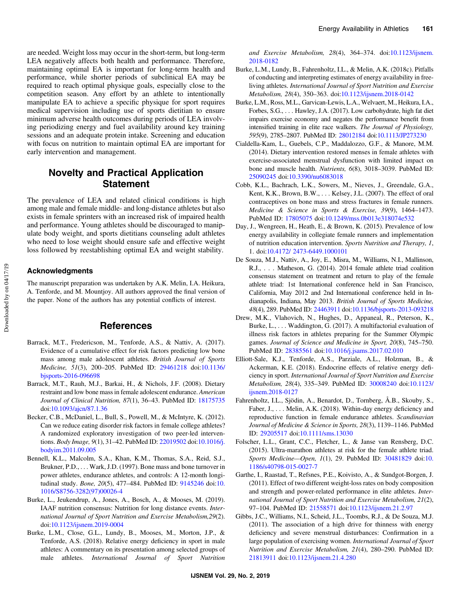<span id="page-9-0"></span>are needed. Weight loss may occur in the short-term, but long-term LEA negatively affects both health and performance. Therefore, maintaining optimal EA is important for long-term health and performance, while shorter periods of subclinical EA may be required to reach optimal physique goals, especially close to the competition season. Any effort by an athlete to intentionally manipulate EA to achieve a specific physique for sport requires medical supervision including use of sports dietitian to ensure minimum adverse health outcomes during periods of LEA involving periodizing energy and fuel availability around key training sessions and an adequate protein intake. Screening and education with focus on nutrition to maintain optimal EA are important for early intervention and management.

## Novelty and Practical Application Statement

The prevalence of LEA and related clinical conditions is high among male and female middle- and long-distance athletes but also exists in female sprinters with an increased risk of impaired health and performance. Young athletes should be discouraged to manipulate body weight, and sports dietitians counseling adult athletes who need to lose weight should ensure safe and effective weight loss followed by reestablishing optimal EA and weight stability.

#### Acknowledgments

The manuscript preparation was undertaken by A.K. Melin, I.A. Heikura, A. Tenforde, and M. Mountjoy. All authors approved the final version of the paper. None of the authors has any potential conflicts of interest.

## **References**

- Barrack, M.T., Fredericson, M., Tenforde, A.S., & Nattiv, A. (2017). Evidence of a cumulative effect for risk factors predicting low bone mass among male adolescent athletes. British Journal of Sports Medicine, 51(3), 200–205. PubMed ID: [29461218](http://www.ncbi.nlm.nih.gov/pubmed/29461218?dopt=Abstract) doi[:10.1136/](https://doi.org/10.1136/bjsports-2016-096698) [bjsports-2016-096698](https://doi.org/10.1136/bjsports-2016-096698)
- Barrack, M.T., Rauh, M.J., Barkai, H., & Nichols, J.F. (2008). Dietary restraint and low bone mass in female adolescent endurance. American Journal of Clinical Nutrition, 87(1), 36–43. PubMed ID: [18175735](http://www.ncbi.nlm.nih.gov/pubmed/18175735?dopt=Abstract) doi:[10.1093/ajcn/87.1.36](https://doi.org/10.1093/ajcn/87.1.36)
- Becker, C.B., McDaniel, L., Bull, S., Powell, M., & McIntyre, K. (2012). Can we reduce eating disorder risk factors in female college athletes? A randomized exploratory investigation of two peer-led interventions. Body Image, 9(1), 31–42. PubMed ID: [22019502](http://www.ncbi.nlm.nih.gov/pubmed/22019502?dopt=Abstract) doi[:10.1016/j.](https://doi.org/10.1016/j.bodyim.2011.09.005) [bodyim.2011.09.005](https://doi.org/10.1016/j.bodyim.2011.09.005)
- Bennell, K.L., Malcolm, S.A., Khan, K.M., Thomas, S.A., Reid, S.J., Brukner, P.D., . . . Wark, J.D. (1997). Bone mass and bone turnover in power athletes, endurance athletes, and controls: A 12-month longitudinal study. Bone, 20(5), 477–484. PubMed ID: [9145246](http://www.ncbi.nlm.nih.gov/pubmed/9145246?dopt=Abstract) doi:[10.](https://doi.org/10.1016/S8756-3282(97)00026-4) [1016/S8756-3282\(97\)00026-4](https://doi.org/10.1016/S8756-3282(97)00026-4)
- Burke, L., Jeukendrup, A., Jones, A., Bosch, A., & Mooses, M. (2019). IAAF nutrition consensus: Nutrition for long distance events. International Journal of Sport Nutrition and Exercise Metabolism,29(2). doi:[10.1123/ijsnem.2019-0004](https://doi.org/10.1123/ijsnem.2019-0004)
- Burke, L.M., Close, G.L., Lundy, B., Mooses, M., Morton, J.P., & Tenforde, A.S. (2018). Relative energy deficiency in sport in male athletes: A commentary on its presentation among selected groups of male athletes. International Journal of Sport Nutrition

and Exercise Metabolism, 28(4), 364–374. doi[:10.1123/ijsnem.](https://doi.org/10.1123/ijsnem.2018-0182) [2018-0182](https://doi.org/10.1123/ijsnem.2018-0182)

- Burke, L.M., Lundy, B., Fahrenholtz, I.L., & Melin, A.K. (2018c). Pitfalls of conducting and interpreting estimates of energy availability in freeliving athletes. International Journal of Sport Nutrition and Exercise Metabolism, 28(4), 350–363. doi[:10.1123/ijsnem.2018-0142](https://doi.org/10.1123/ijsnem.2018-0142)
- Burke, L.M., Ross, M.L., Garvican-Lewis, L.A., Welvaert, M., Heikura, I.A., Forbes, S.G., . . . Hawley, J.A. (2017). Low carbohydrate, high fat diet impairs exercise economy and negates the performance benefit from intensified training in elite race walkers. The Journal of Physiology, 595(9), 2785–2807. PubMed ID: [28012184](http://www.ncbi.nlm.nih.gov/pubmed/28012184?dopt=Abstract) doi[:10.1113/JP273230](https://doi.org/10.1113/JP273230)
- Cialdella-Kam, L., Guebels, C.P., Maddalozzo, G.F., & Manore, M.M. (2014). Dietary intervention restored menses in female athletes with exercise-associated menstrual dysfunction with limited impact on bone and muscle health. Nutrients, 6(8), 3018–3039. PubMed ID: [25090245](http://www.ncbi.nlm.nih.gov/pubmed/25090245?dopt=Abstract) doi:[10.3390/nu6083018](https://doi.org/10.3390/nu6083018)
- Cobb, K.L., Bachrach, L.K., Sowers, M., Nieves, J., Greendale, G.A., Kent, K.K., Brown, B.W., . . . Kelsey, J.L. (2007). The effect of oral contraceptives on bone mass and stress fractures in female runners. Medicine & Science in Sports & Exercise, 39(9), 1464–1473. PubMed ID: [17805075](http://www.ncbi.nlm.nih.gov/pubmed/17805075?dopt=Abstract) doi:[10.1249/mss.0b013e318074e532](https://doi.org/10.1249/mss.0b013e318074e532)
- Day, J., Wengreen, H., Heath, E., & Brown, K. (2015). Prevalence of low energy availability in collegiate female runners and implementation of nutrition education intervention. Sports Nutrition and Therapy, 1, 1. doi:[10.4172/ 2473-6449.1000101](https://doi.org/10.4172/ 2473-6449.1000101)
- De Souza, M.J., Nattiv, A., Joy, E., Misra, M., Williams, N.I., Mallinson, R.J., . . . Matheson, G. (2014). 2014 female athlete triad coalition consensus statement on treatment and return to play of the female athlete triad: 1st International conference held in San Francisco, California, May 2012 and 2nd International conference held in Indianapolis, Indiana, May 2013. British Journal of Sports Medicine, 48(4), 289. PubMed ID: [24463911](http://www.ncbi.nlm.nih.gov/pubmed/24463911?dopt=Abstract) doi:[10.1136/bjsports-2013-093218](https://doi.org/10.1136/bjsports-2013-093218)
- Drew, M.K., Vlahovich, N., Hughes, D., Appaneal, R., Peterson, K., Burke, L., . . . Waddington, G. (2017). A multifactorial evaluation of illness risk factors in athletes preparing for the Summer Olympic games. Journal of Science and Medicine in Sport, 20(8), 745–750. PubMed ID: [28385561](http://www.ncbi.nlm.nih.gov/pubmed/28385561?dopt=Abstract) doi:[10.1016/j.jsams.2017.02.010](https://doi.org/10.1016/j.jsams.2017.02.010)
- Elliott-Sale, K.J., Tenforde, A.S., Parziale, A.L., Holzman, B., & Ackerman, K.E. (2018). Endocrine effects of relative energy deficiency in sport. International Journal of Sport Nutrition and Exercise Metabolism, 28(4), 335–349. PubMed ID: [30008240](http://www.ncbi.nlm.nih.gov/pubmed/30008240?dopt=Abstract) doi[:10.1123/](https://doi.org/10.1123/ijsnem.2018-0127) [ijsnem.2018-0127](https://doi.org/10.1123/ijsnem.2018-0127)
- Fahrenholtz, I.L., Sjödin, A., Benardot, D., Tornberg, Å.B., Skouby, S., Faber, J., . . . Melin, A.K. (2018). Within-day energy deficiency and reproductive function in female endurance athletes. Scandinavian Journal of Medicine & Science in Sports, 28(3), 1139–1146. PubMed ID: [29205517](http://www.ncbi.nlm.nih.gov/pubmed/29205517?dopt=Abstract) doi[:10.1111/sms.13030](https://doi.org/10.1111/sms.13030)
- Folscher, L.L., Grant, C.C., Fletcher, L., & Janse van Rensberg, D.C. (2015). Ultra-marathon athletes at risk for the female athlete triad. Sports Medicine—Open, 1(1), 29. PubMed ID: [30481829](http://www.ncbi.nlm.nih.gov/pubmed/30481829?dopt=Abstract) doi:[10.](https://doi.org/10.1186/s40798-015-0027-7) [1186/s40798-015-0027-7](https://doi.org/10.1186/s40798-015-0027-7)
- Garthe, I., Raastad, T., Refsnes, P.E., Koivisto, A., & Sundgot-Borgen, J. (2011). Effect of two different weight-loss rates on body composition and strength and power-related performance in elite athletes. International Journal of Sport Nutrition and Exercise Metabolism, 21(2), 97–104. PubMed ID: [21558571](http://www.ncbi.nlm.nih.gov/pubmed/21558571?dopt=Abstract) doi[:10.1123/ijsnem.21.2.97](https://doi.org/10.1123/ijsnem.21.2.97)
- Gibbs, J.C., Williams, N.I., Scheid, J.L., Toombs, R.J., & De Souza, M.J. (2011). The association of a high drive for thinness with energy deficiency and severe menstrual disturbances: Confirmation in a large population of exercising women. International Journal of Sport Nutrition and Exercise Metabolism, 21(4), 280–290. PubMed ID: [21813911](http://www.ncbi.nlm.nih.gov/pubmed/21813911?dopt=Abstract) doi:[10.1123/ijsnem.21.4.280](https://doi.org/10.1123/ijsnem.21.4.280)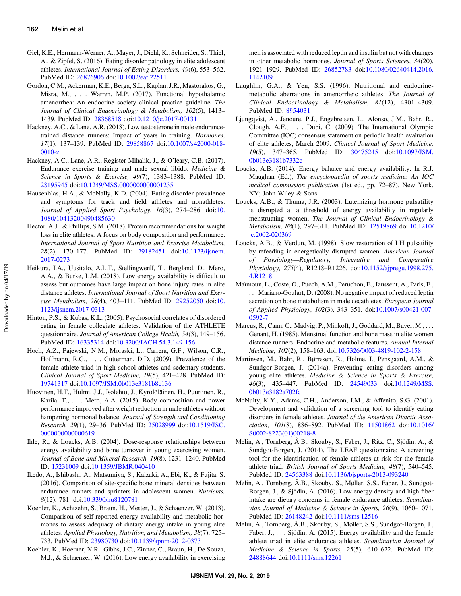- <span id="page-10-0"></span>Giel, K.E., Hermann-Werner, A., Mayer, J., Diehl, K., Schneider, S., Thiel, A., & Zipfel, S. (2016). Eating disorder pathology in elite adolescent athletes. International Journal of Eating Disorders, 49(6), 553–562. PubMed ID: [26876906](http://www.ncbi.nlm.nih.gov/pubmed/26876906?dopt=Abstract) doi:[10.1002/eat.22511](https://doi.org/10.1002/eat.22511)
- Gordon, C.M., Ackerman, K.E., Berga, S.L., Kaplan, J.R., Mastorakos, G., Misra, M., . . . Warren, M.P. (2017). Functional hypothalamic amenorrhea: An endocrine society clinical practice guideline. The Journal of Clinical Endocrinology & Metabolism, 102(5), 1413– 1439. PubMed ID: [28368518](http://www.ncbi.nlm.nih.gov/pubmed/28368518?dopt=Abstract) doi[:10.1210/jc.2017-00131](https://doi.org/10.1210/jc.2017-00131)
- Hackney, A.C., & Lane, A.R. (2018). Low testosterone in male endurancetrained distance runners: Impact of years in training. Hormones, 17(1), 137–139. PubMed ID: [29858867](http://www.ncbi.nlm.nih.gov/pubmed/29858867?dopt=Abstract) doi[:10.1007/s42000-018-](https://doi.org/10.1007/s42000-018-0010-z) [0010-z](https://doi.org/10.1007/s42000-018-0010-z)
- Hackney, A.C., Lane, A.R., Register-Mihalik, J., & O'leary, C.B. (2017). Endurance exercise training and male sexual libido. Medicine & Science in Sports & Exercise, 49(7), 1383–1388. PubMed ID: [28195945](http://www.ncbi.nlm.nih.gov/pubmed/28195945?dopt=Abstract) doi:[10.1249/MSS.0000000000001235](https://doi.org/10.1249/MSS.0000000000001235)
- Hausenblas, H.A., & McNally, K.D. (2004). Eating disorder prevalence and symptoms for track and field athletes and nonathletes. Journal of Applied Sport Psychology, 16(3), 274-286. doi:[10.](https://doi.org/10.1080/10413200490485630) [1080/10413200490485630](https://doi.org/10.1080/10413200490485630)
- Hector, A.J., & Phillips, S.M. (2018). Protein recommendations for weight loss in elite athletes: A focus on body composition and performance. International Journal of Sport Nutrition and Exercise Metabolism, 28(2), 170–177. PubMed ID: [29182451](http://www.ncbi.nlm.nih.gov/pubmed/29182451?dopt=Abstract) doi[:10.1123/ijsnem.](https://doi.org/10.1123/ijsnem.2017-0273) [2017-0273](https://doi.org/10.1123/ijsnem.2017-0273)
- Heikura, I.A., Uusitalo, A.L.T., Stellingwerff, T., Bergland, D., Mero, A.A., & Burke, L.M. (2018). Low energy availability is difficult to assess but outcomes have large impact on bone injury rates in elite distance athletes. International Journal of Sport Nutrition and Exercise Metabolism, 28(4), 403–411. PubMed ID: [29252050](http://www.ncbi.nlm.nih.gov/pubmed/29252050?dopt=Abstract) doi:[10.](https://doi.org/10.1123/ijsnem.2017-0313) [1123/ijsnem.2017-0313](https://doi.org/10.1123/ijsnem.2017-0313)
- Hinton, P.S., & Kubas, K.L. (2005). Psychosocial correlates of disordered eating in female collegiate athletes: Validation of the ATHLETE questionnaire. Journal of American College Health, 54(3), 149–156. PubMed ID: [16335314](http://www.ncbi.nlm.nih.gov/pubmed/16335314?dopt=Abstract) doi:[10.3200/JACH.54.3.149-156](https://doi.org/10.3200/JACH.54.3.149-156)
- Hoch, A.Z., Pajewski, N.M., Moraski, L., Carrera, G.F., Wilson, C.R., Hoffmann, R.G., . . . Gutterman, D.D. (2009). Prevalence of the female athlete triad in high school athletes and sedentary students. Clinical Journal of Sport Medicine, 19(5), 421–428. PubMed ID: [19741317](http://www.ncbi.nlm.nih.gov/pubmed/19741317?dopt=Abstract) doi:[10.1097/JSM.0b013e3181b8c136](https://doi.org/10.1097/JSM.0b013e3181b8c136)
- Huovinen, H.T., Hulmi, J.J., Isolehto, J., Kyrolöläinen, H., Puurtinen, R., Karila, T., . . . Mero, A.A. (2015). Body composition and power performance improved after weight reduction in male athletes without hampering hormonal balance. Journal of Strength and Conditioning Research, 29(1), 29–36. PubMed ID: [25028999](http://www.ncbi.nlm.nih.gov/pubmed/25028999?dopt=Abstract) doi:[10.1519/JSC.](https://doi.org/10.1519/JSC.0000000000000619) [0000000000000619](https://doi.org/10.1519/JSC.0000000000000619)
- Ihle, R., & Loucks, A.B. (2004). Dose-response relationships between energy availability and bone turnover in young exercising women. Journal of Bone and Mineral Research, 19(8), 1231–1240. PubMed ID: [15231009](http://www.ncbi.nlm.nih.gov/pubmed/15231009?dopt=Abstract) doi[:10.1359/JBMR.040410](https://doi.org/10.1359/JBMR.040410)
- Ikedo, A., Ishibashi, A., Matsumiya, S., Kaizaki, A., Ebi, K., & Fujita, S. (2016). Comparison of site-specific bone mineral densities between endurance runners and sprinters in adolescent women. Nutrients, 8(12), 781. doi[:10.3390/nu8120781](https://doi.org/10.3390/nu8120781)
- Koehler, K., Achtzehn, S., Braun, H., Mester, J., & Schaenzer, W. (2013). Comparison of self-reported energy availability and metabolic hormones to assess adequacy of dietary energy intake in young elite athletes. Applied Physiology, Nutrition, and Metabolism, 38(7), 725– 733. PubMed ID: [23980730](http://www.ncbi.nlm.nih.gov/pubmed/23980730?dopt=Abstract) doi:[10.1139/apnm-2012-0373](https://doi.org/10.1139/apnm-2012-0373)
- Koehler, K., Hoerner, N.R., Gibbs, J.C., Zinner, C., Braun, H., De Souza, M.J., & Schaenzer, W. (2016). Low energy availability in exercising

men is associated with reduced leptin and insulin but not with changes in other metabolic hormones. Journal of Sports Sciences, 34(20), 1921–1929. PubMed ID: [26852783](http://www.ncbi.nlm.nih.gov/pubmed/26852783?dopt=Abstract) doi:[10.1080/02640414.2016.](https://doi.org/10.1080/02640414.2016.1142109) [1142109](https://doi.org/10.1080/02640414.2016.1142109)

- Laughlin, G.A., & Yen, S.S. (1996). Nutritional and endocrinemetabolic aberrations in amenorrheic athletes. The Journal of Clinical Endocrinology & Metabolism, 81(12), 4301–4309. PubMed ID: [8954031](http://www.ncbi.nlm.nih.gov/pubmed/8954031?dopt=Abstract)
- Ljungqvist, A., Jenoure, P.J., Engebretsen, L., Alonso, J.M., Bahr, R., Clough, A.F., . . . Dubi, C. (2009). The International Olympic Committee (IOC) consensus statement on periodic health evaluation of elite athletes, March 2009. Clinical Journal of Sport Medicine, 19(5), 347–365. PubMed ID: [30475245](http://www.ncbi.nlm.nih.gov/pubmed/30475245?dopt=Abstract) doi:[10.1097/JSM.](https://doi.org/10.1097/JSM.0b013e3181b7332c) [0b013e3181b7332c](https://doi.org/10.1097/JSM.0b013e3181b7332c)
- Loucks, A.B. (2014). Energy balance and energy availability. In R.J. Maughan (Ed.), The encyclopaedia of sports medicine: An IOC medical commission publication (1st ed., pp. 72–87). New York, NY; John Wiley & Sons.
- Loucks, A.B., & Thuma, J.R. (2003). Luteinizing hormone pulsatility is disrupted at a threshold of energy availability in regularly menstruating women. The Journal of Clinical Endocrinology & Metabolism, 88(1), 297–311. PubMed ID: [12519869](http://www.ncbi.nlm.nih.gov/pubmed/12519869?dopt=Abstract) doi[:10.1210/](https://doi.org/10.1210/jc.2002-020369) [jc.2002-020369](https://doi.org/10.1210/jc.2002-020369)
- Loucks, A.B., & Verdun, M. (1998). Slow restoration of LH pulsatility by refeeding in energetically disrupted women. American Journal of Physiology—Regulatory, Integrative and Comparative Physiology, 275(4), R1218–R1226. doi[:10.1152/ajpregu.1998.275.](https://doi.org/10.1152/ajpregu.1998.275.4.R1218) [4.R1218](https://doi.org/10.1152/ajpregu.1998.275.4.R1218)
- Maïmoun, L., Coste, O., Puech, A.M., Peruchon, E., Jaussent, A., Paris, F., . . . Mariano-Goulart, D. (2008). No negative impact of reduced leptin secretion on bone metabolism in male decathletes. European Journal of Applied Physiology, 102(3), 343–351. doi[:10.1007/s00421-007-](https://doi.org/10.1007/s00421-007-0592-7) [0592-7](https://doi.org/10.1007/s00421-007-0592-7)
- Marcus, R., Cann, C., Madvig, P., Minkoff, J., Goddard, M., Bayer, M., ... Genant, H. (1985). Menstrual function and bone mass in elite women distance runners. Endocrine and metabolic features. Annual Internal Medicine, 102(2), 158–163. doi:[10.7326/0003-4819-102-2-158](https://doi.org/10.7326/0003-4819-102-2-158)
- Martinsen, M., Bahr, R., Børresen, R., Holme, I., Pensgaard, A.M., & Sundgor-Borgen, J. (2014a). Preventing eating disorders among young elite athletes. Medicine & Science in Sports & Exercise, 46(3), 435–447. PubMed ID: [24549033](http://www.ncbi.nlm.nih.gov/pubmed/24549033?dopt=Abstract) doi[:10.1249/MSS.](https://doi.org/10.1249/MSS.0b013e3182a702fc) [0b013e3182a702fc](https://doi.org/10.1249/MSS.0b013e3182a702fc)
- McNulty, K.Y., Adams, C.H., Anderson, J.M., & Affenito, S.G. (2001). Development and validation of a screening tool to identify eating disorders in female athletes. Journal of the American Dietetic Association, 101(8), 886–892. PubMed ID: [11501862](http://www.ncbi.nlm.nih.gov/pubmed/11501862?dopt=Abstract) doi[:10.1016/](https://doi.org/10.1016/S0002-8223(01)00218-8) [S0002-8223\(01\)00218-8](https://doi.org/10.1016/S0002-8223(01)00218-8)
- Melin, A., Tornberg, Å.B., Skouby, S., Faber, J., Ritz, C., Sjödin, A., & Sundgot-Borgen, J. (2014). The LEAF questionnaire: A screening tool for the identification of female athletes at risk for the female athlete triad. British Journal of Sports Medicine, 48(7), 540–545. PubMed ID: [24563388](http://www.ncbi.nlm.nih.gov/pubmed/24563388?dopt=Abstract) doi:[10.1136/bjsports-2013-093240](https://doi.org/10.1136/bjsports-2013-093240)
- Melin, A., Tornberg, Å.B., Skouby, S., Møller, S.S., Faber, J., Sundgot-Borgen, J., & Sjödin, A. (2016). Low-energy density and high fiber intake are dietary concerns in female endurance athletes. Scandinavian Journal of Medicine & Science in Sports, 26(9), 1060–1071. PubMed ID: [26148242](http://www.ncbi.nlm.nih.gov/pubmed/26148242?dopt=Abstract) doi:[10.1111/sms.12516](https://doi.org/10.1111/sms.12516)
- Melin, A., Tornberg, Å.B., Skouby, S., Møller, S.S., Sundgot-Borgen, J., Faber, J., . . . Sjödin, A. (2015). Energy availability and the female athlete triad in elite endurance athletes. Scandinavian Journal of Medicine & Science in Sports, 25(5), 610–622. PubMed ID: [24888644](http://www.ncbi.nlm.nih.gov/pubmed/24888644?dopt=Abstract) doi:[10.1111/sms.12261](https://doi.org/10.1111/sms.12261)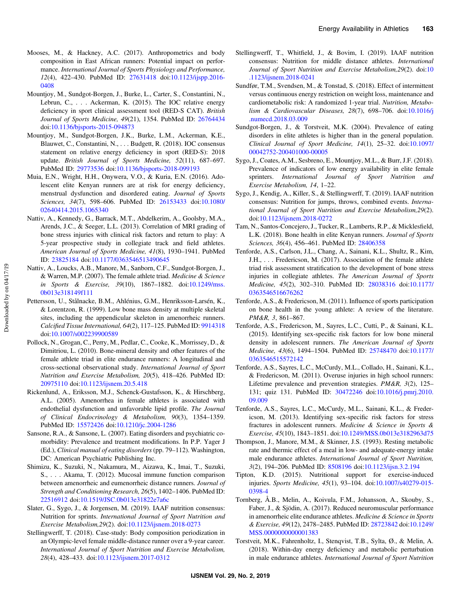- <span id="page-11-0"></span>Mooses, M., & Hackney, A.C. (2017). Anthropometrics and body composition in East African runners: Potential impact on performance. International Journal of Sports Physiology and Performance, 12(4), 422–430. PubMed ID: [27631418](http://www.ncbi.nlm.nih.gov/pubmed/27631418?dopt=Abstract) doi:[10.1123/ijspp.2016-](https://doi.org/10.1123/ijspp.2016-0408) [0408](https://doi.org/10.1123/ijspp.2016-0408)
- Mountjoy, M., Sundgot-Borgen, J., Burke, L., Carter, S., Constantini, N., Lebrun, C., . . . Ackerman, K. (2015). The IOC relative energy deficiency in sport clinical assessment tool (RED-S CAT). British Journal of Sports Medicine, 49(21), 1354. PubMed ID: [26764434](http://www.ncbi.nlm.nih.gov/pubmed/26764434?dopt=Abstract) doi:[10.1136/bjsports-2015-094873](https://doi.org/10.1136/bjsports-2015-094873)
- Mountjoy, M., Sundgot-Borgen, J.K., Burke, L.M., Ackerman, K.E., Blauwet, C., Constantini, N., . . . Budgett, R. (2018). IOC consensus statement on relative energy deficiency in sport (RED-S): 2018 update. British Journal of Sports Medicine, 52(11), 687–697. PubMed ID: [29773536](http://www.ncbi.nlm.nih.gov/pubmed/29773536?dopt=Abstract) doi:[10.1136/bjsports-2018-099193](https://doi.org/10.1136/bjsports-2018-099193)
- Muia, E.N., Wright, H.H., Onywera, V.O., & Kuria, E.N. (2016). Adolescent elite Kenyan runners are at risk for energy deficiency, menstrual dysfunction and disordered eating. Journal of Sports Sciences, 34(7), 598–606. PubMed ID: [26153433](http://www.ncbi.nlm.nih.gov/pubmed/26153433?dopt=Abstract) doi[:10.1080/](https://doi.org/10.1080/02640414.2015.1065340) [02640414.2015.1065340](https://doi.org/10.1080/02640414.2015.1065340)
- Nattiv, A., Kennedy, G., Barrack, M.T., Abdelkerim, A., Goolsby, M.A., Arends, J.C., & Seeger, L.L. (2013). Correlation of MRI grading of bone stress injuries with clinical risk factors and return to play: A 5-year prospective study in collegiate track and field athletes. American Journal of Sports Medicine, 41(8), 1930–1941. PubMed ID: [23825184](http://www.ncbi.nlm.nih.gov/pubmed/23825184?dopt=Abstract) doi[:10.1177/0363546513490645](https://doi.org/10.1177/0363546513490645)
- Nattiv, A., Loucks, A.B., Manore, M., Sanborn, C.F., Sundgot-Borgen, J., & Warren, M.P. (2007). The female athlete triad. Medicine & Science in Sports & Exercise, 39(10), 1867–1882. doi[:10.1249/mss.](https://doi.org/10.1249/mss.0b013e318149f111) [0b013e318149f111](https://doi.org/10.1249/mss.0b013e318149f111)
- Pettersson, U., Stålnacke, B.M., Ahlénius, G.M., Henriksson-Larsén, K., & Lorentzon, R. (1999). Low bone mass density at multiple skeletal sites, including the appendicular skeleton in amenorrheic runners. Calcified Tissue International, 64(2), 117–125. PubMed ID: [9914318](http://www.ncbi.nlm.nih.gov/pubmed/9914318?dopt=Abstract) doi:[10.1007/s002239900589](https://doi.org/10.1007/s002239900589)
- Pollock, N., Grogan, C., Perry, M., Pedlar, C., Cooke, K., Morrissey, D., & Dimitriou, L. (2010). Bone-mineral density and other features of the female athlete triad in elite endurance runners: A longitudinal and cross-sectional observational study. International Journal of Sport Nutrition and Exercise Metabolism, 20(5), 418–426. PubMed ID: [20975110](http://www.ncbi.nlm.nih.gov/pubmed/20975110?dopt=Abstract) doi:[10.1123/ijsnem.20.5.418](https://doi.org/10.1123/ijsnem.20.5.418)
- Rickenlund, A., Eriksson, M.J., Schenck-Gustafsson, K., & Hirschberg, A.L. (2005). Amenorrhea in female athletes is associated with endothelial dysfunction and unfavorable lipid profile. The Journal of Clinical Endocrinology & Metabolism, 90(3), 1354–1359. PubMed ID: [15572426](http://www.ncbi.nlm.nih.gov/pubmed/15572426?dopt=Abstract) doi:[10.1210/jc.2004-1286](https://doi.org/10.1210/jc.2004-1286)
- Sansone, R.A., & Sansone, L. (2007). Eating disorders and psychiatric comorbidity: Prevalence and treatment modifications. In P.P. Yager J (Ed.), Clinical manual of eating disorders (pp. 79–112). Washington, DC: American Psychiatric Publishing Inc.
- Shimizu, K., Suzuki, N., Nakamura, M., Aizawa, K., Imai, T., Suzuki, S., . . . Akama, T. (2012). Mucosal immune function comparison between amenorrheic and eumenorrheic distance runners. Journal of Strength and Conditioning Research, 26(5), 1402–1406. PubMed ID: [22516912](http://www.ncbi.nlm.nih.gov/pubmed/22516912?dopt=Abstract) doi:[10.1519/JSC.0b013e31822e7a6c](https://doi.org/10.1519/JSC.0b013e31822e7a6c)
- Slater, G., Sygo, J., & Jorgensen, M. (2019). IAAF nutrition consensus: Nutrition for sprints. International Journal of Sport Nutrition and Exercise Metabolism,29(2). doi[:10.1123/ijsnem.2018-0273](https://doi.org/10.1123/ijsnem.2018-0273)
- Stellingwerff, T. (2018). Case-study: Body composition periodization in an Olympic-level female middle-distance runner over a 9-year career. International Journal of Sport Nutrition and Exercise Metabolism, 28(4), 428–433. doi[:10.1123/ijsnem.2017-0312](https://doi.org/10.1123/ijsnem.2017-0312)
- Stellingwerff, T., Whitfield, J., & Bovim, I. (2019). IAAF nutrition consensus: Nutrition for middle distance athletes. International Journal of Sport Nutrition and Exercise Metabolism,29(2). doi[:10](https://doi.org/10.1123/ijsnem.2018-0241) [.1123/ijsnem.2018-0241](https://doi.org/10.1123/ijsnem.2018-0241)
- Sundfør, T.M., Svendsen, M., & Tonstad, S. (2018). Effect of intermittent versus continuous energy restriction on weight loss, maintenance and cardiometabolic risk: A randomized 1-year trial. Nutrition, Metabolism & Cardiovascular Diseases, 28(7), 698–706. doi:[10.1016/j](https://doi.org/10.1016/j.numecd.2018.03.009) [.numecd.2018.03.009](https://doi.org/10.1016/j.numecd.2018.03.009)
- Sundgot-Borgen, J., & Torstveit, M.K. (2004). Prevalence of eating disorders in elite athletes is higher than in the general population. Clinical Journal of Sport Medicine, 14(1), 25–32. doi[:10.1097/](https://doi.org/10.1097/00042752-200401000-00005) [00042752-200401000-00005](https://doi.org/10.1097/00042752-200401000-00005)
- Sygo, J., Coates, A.M., Sesbreno, E., Mountjoy, M.L., & Burr, J.F. (2018). Prevalence of indicators of low energy availability in elite female sprinters. International Journal of Sport Nutrition and Exercise Metabolism, 14, 1–22.
- Sygo, J., Kendig, A., Killer, S., & Stellingwerff, T. (2019). IAAF nutrition consensus: Nutrition for jumps, throws, combined events. International Journal of Sport Nutrition and Exercise Metabolism,29(2). doi:[10.1123/ijsnem.2018-0272](https://doi.org/10.1123/ijsnem.2018-0272)
- Tam, N., Santos-Concejero, J., Tucker, R., Lamberts, R.P., & Micklesfield, L.K. (2018). Bone health in elite Kenyan runners. Journal of Sports Sciences, 36(4), 456–461. PubMed ID: [28406358](http://www.ncbi.nlm.nih.gov/pubmed/28406358?dopt=Abstract)
- Tenforde, A.S., Carlson, J.L., Chang, A., Sainani, K.L., Shultz, R., Kim, J.H., . . . Fredericson, M. (2017). Association of the female athlete triad risk assessment stratification to the development of bone stress injuries in collegiate athletes. The American Journal of Sports Medicine, 45(2), 302–310. PubMed ID: [28038316](http://www.ncbi.nlm.nih.gov/pubmed/28038316?dopt=Abstract) doi[:10.1177/](https://doi.org/10.1177/0363546516676262) [0363546516676262](https://doi.org/10.1177/0363546516676262)
- Tenforde, A.S., & Fredericson, M. (2011). Influence of sports participation on bone health in the young athlete: A review of the literature. PM&R, 3, 861–867.
- Tenforde, A.S., Fredericson, M., Sayres, L.C., Cutti, P., & Sainani, K.L. (2015). Identifying sex-specific risk factors for low bone mineral density in adolescent runners. The American Journal of Sports Medicine, 43(6), 1494–1504. PubMed ID: [25748470](http://www.ncbi.nlm.nih.gov/pubmed/25748470?dopt=Abstract) doi[:10.1177/](https://doi.org/10.1177/0363546515572142) [0363546515572142](https://doi.org/10.1177/0363546515572142)
- Tenforde, A.S., Sayres, L.C., McCurdy, M.L., Collado, H., Sainani, K.L., & Fredericson, M. (2011). Overuse injuries in high school runners: Lifetime prevalence and prevention strategies. PM&R, 3(2), 125– 131; quiz 131. PubMed ID: [30472246](http://www.ncbi.nlm.nih.gov/pubmed/30472246?dopt=Abstract) doi[:10.1016/j.pmrj.2010.](https://doi.org/10.1016/j.pmrj.2010.09.009) [09.009](https://doi.org/10.1016/j.pmrj.2010.09.009)
- Tenforde, A.S., Sayres, L.C., McCurdy, M.L., Sainani, K.L., & Fredericson, M. (2013). Identifying sex-specific risk factors for stress fractures in adolescent runners. Medicine & Science in Sports & Exercise, 45(10), 1843–1851. doi:[10.1249/MSS.0b013e3182963d75](https://doi.org/10.1249/MSS.0b013e3182963d75)
- Thompson, J., Manore, M.M., & Skinner, J.S. (1993). Resting metabolic rate and thermic effect of a meal in low- and adequate-energy intake male endurance athletes. International Journal of Sport Nutrition, 3(2), 194–206. PubMed ID: [8508196](http://www.ncbi.nlm.nih.gov/pubmed/8508196?dopt=Abstract) doi[:10.1123/ijsn.3.2.194](https://doi.org/10.1123/ijsn.3.2.194)
- Tipton, K.D. (2015). Nutritional support for exercise-induced injuries. Sports Medicine, 45(1), 93–104. doi[:10.1007/s40279-015-](https://doi.org/10.1007/s40279-015-0398-4) [0398-4](https://doi.org/10.1007/s40279-015-0398-4)
- Tornberg, Å.B., Melin, A., Koivula, F.M., Johansson, A., Skouby, S., Faber, J., & Sjödin, A. (2017). Reduced neuromuscular performance in amenorrheic elite endurance athletes. Medicine & Science in Sports & Exercise, 49(12), 2478–2485. PubMed ID: [28723842](http://www.ncbi.nlm.nih.gov/pubmed/28723842?dopt=Abstract) doi[:10.1249/](https://doi.org/10.1249/MSS.0000000000001383) [MSS.0000000000001383](https://doi.org/10.1249/MSS.0000000000001383)
- Torstveit, M.K., Fahrenholtz, I., Stenqvist, T.B., Sylta, Ø., & Melin, A. (2018). Within-day energy deficiency and metabolic perturbation in male endurance athletes. International Journal of Sport Nutrition